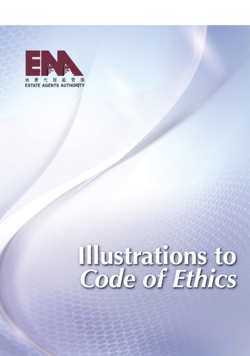

# Illustrations to<br>Code of Ethics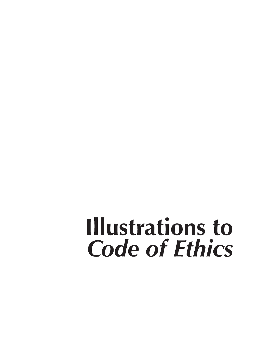# **Illustrations to Code of Ethics**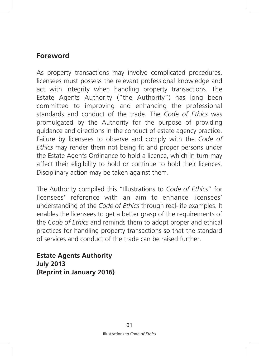#### **Foreword**

As property transactions may involve complicated procedures, licensees must possess the relevant professional knowledge and act with integrity when handling property transactions. The Estate Agents Authority ("the Authority") has long been committed to improving and enhancing the professional standards and conduct of the trade. The *Code of Ethics* was promulgated by the Authority for the purpose of providing guidance and directions in the conduct of estate agency practice. Failure by licensees to observe and comply with the *Code of Ethics* may render them not being fit and proper persons under the Estate Agents Ordinance to hold a licence, which in turn may affect their eligibility to hold or continue to hold their licences. Disciplinary action may be taken against them.

The Authority compiled this "Illustrations to *Code of Ethics*" for licensees' reference with an aim to enhance licensees' understanding of the *Code of Ethics* through real-life examples. It enables the licensees to get a better grasp of the requirements of the *Code of Ethics* and reminds them to adopt proper and ethical practices for handling property transactions so that the standard of services and conduct of the trade can be raised further.

**Estate Agents Authority July 2013 (Reprint in January 2016)**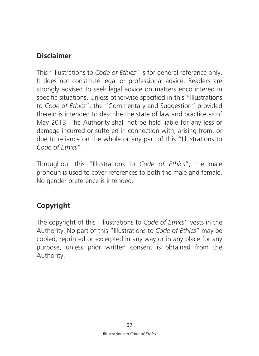#### **Disclaimer**

This "Illustrations to *Code of Ethics*" is for general reference only. It does not constitute legal or professional advice. Readers are strongly advised to seek legal advice on matters encountered in specific situations. Unless otherwise specified in this "Illustrations to *Code of Ethics*", the "Commentary and Suggestion" provided therein is intended to describe the state of law and practice as of May 2013. The Authority shall not be held liable for any loss or damage incurred or suffered in connection with, arising from, or due to reliance on the whole or any part of this "Illustrations to *Code of Ethics*".

Throughout this "Illustrations to *Code of Ethics*", the male pronoun is used to cover references to both the male and female. No gender preference is intended.

# **Copyright**

The copyright of this "Illustrations to *Code of Ethics*" vests in the Authority. No part of this "Illustrations to *Code of Ethics*" may be copied, reprinted or excerpted in any way or in any place for any purpose, unless prior written consent is obtained from the Authority.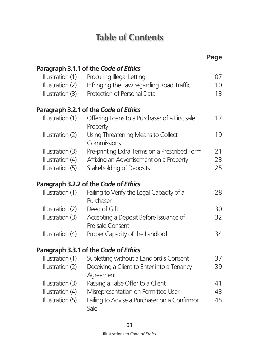# **Table of Contents**

|                  |                                                            | Page |
|------------------|------------------------------------------------------------|------|
|                  | Paragraph 3.1.1 of the Code of Ethics                      |      |
| Illustration (1) | Procuring Illegal Letting                                  | 07   |
| Illustration (2) | Infringing the Law regarding Road Traffic                  | 10   |
| Illustration (3) | Protection of Personal Data                                | 13   |
|                  | Paragraph 3.2.1 of the Code of Ethics                      |      |
| Illustration (1) | Offering Loans to a Purchaser of a First sale<br>Property  | 17   |
| Illustration (2) | Using Threatening Means to Collect<br>Commissions          | 19   |
| Illustration (3) | Pre-printing Extra Terms on a Prescribed Form              | 21   |
| Illustration (4) | Affixing an Advertisement on a Property                    | 23   |
| Illustration (5) | Stakeholding of Deposits                                   | 25   |
|                  | Paragraph 3.2.2 of the Code of Ethics                      |      |
| Illustration (1) | Failing to Verify the Legal Capacity of a<br>Purchaser     | 28   |
| Illustration (2) | Deed of Gift                                               | 30   |
| Illustration (3) | Accepting a Deposit Before Issuance of<br>Pre-sale Consent | 32   |
| Illustration (4) | Proper Capacity of the Landlord                            | 34   |
|                  | Paragraph 3.3.1 of the Code of Ethics                      |      |
| Illustration (1) | Subletting without a Landlord's Consent                    | 37   |
| Illustration (2) | Deceiving a Client to Enter into a Tenancy<br>Agreement    | 39   |
| Illustration (3) | Passing a False Offer to a Client                          | 41   |
| Illustration (4) | Misrepresentation on Permitted User                        | 43   |
| Illustration (5) | Failing to Advise a Purchaser on a Confirmor<br>Sale       | 45   |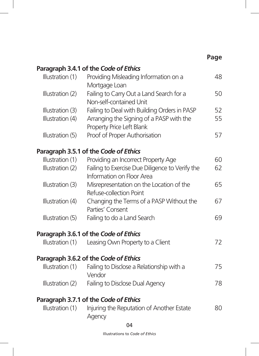|                                      |                                                                                                                       | Page     |
|--------------------------------------|-----------------------------------------------------------------------------------------------------------------------|----------|
|                                      | Paragraph 3.4.1 of the Code of Ethics                                                                                 |          |
| Illustration (1)                     | Providing Misleading Information on a<br>Mortgage Loan                                                                | 48       |
| Illustration (2)                     | Failing to Carry Out a Land Search for a<br>Non-self-contained Unit                                                   | 50       |
| Illustration (3)<br>Illustration (4) | Failing to Deal with Building Orders in PASP<br>Arranging the Signing of a PASP with the<br>Property Price Left Blank | 52<br>55 |
| Illustration (5)                     | Proof of Proper Authorisation                                                                                         | 57       |
|                                      | Paragraph 3.5.1 of the Code of Ethics                                                                                 |          |
| Illustration (1)                     | Providing an Incorrect Property Age                                                                                   | 60       |
| Illustration (2)                     | Failing to Exercise Due Diligence to Verify the<br>Information on Floor Area                                          | 62       |
| Illustration (3)                     | Misrepresentation on the Location of the<br>Refuse-collection Point                                                   | 65       |
| Illustration (4)                     | Changing the Terms of a PASP Without the<br>Parties' Consent                                                          | 67       |
| Illustration (5)                     | Failing to do a Land Search                                                                                           | 69       |
|                                      | Paragraph 3.6.1 of the Code of Ethics                                                                                 |          |
| Illustration (1)                     | Leasing Own Property to a Client                                                                                      | 72       |
|                                      | Paragraph 3.6.2 of the Code of Ethics                                                                                 |          |
| Illustration (1)                     | Failing to Disclose a Relationship with a<br>Vendor                                                                   | 75       |
| Illustration (2)                     | Failing to Disclose Dual Agency                                                                                       | 78       |
|                                      | Paragraph 3.7.1 of the Code of Ethics                                                                                 |          |
| Illustration (1)                     | Injuring the Reputation of Another Estate<br>Agency                                                                   | 80       |

 $\overline{\phantom{a}}$ 

Illustrations to *Code of Ethics* Illustrations to *Code of Ethics*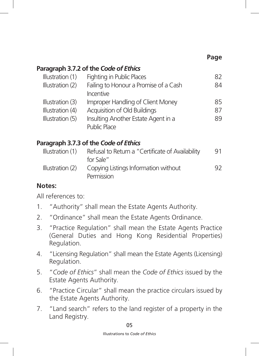#### **Page**

#### **Paragraph 3.7.2 of the** *Code of Ethics*

| Illustration (1) | Fighting in Public Places             | 82 |
|------------------|---------------------------------------|----|
| Illustration (2) | Failing to Honour a Promise of a Cash | 84 |
|                  | Incentive                             |    |
| Illustration (3) | Improper Handling of Client Money     | 85 |
| Illustration (4) | Acquisition of Old Buildings          | 87 |
| Illustration (5) | Insulting Another Estate Agent in a   | 89 |
|                  | Public Place                          |    |

#### **Paragraph 3.7.3 of the** *Code of Ethics*

| Illustration $(1)$ | Refusal to Return a "Certificate of Availability   | 91 |
|--------------------|----------------------------------------------------|----|
|                    | for Sale"                                          |    |
| Illustration $(2)$ | Copying Listings Information without<br>Permission | 92 |

#### **Notes:**

All references to:

- 1. "Authority" shall mean the Estate Agents Authority.
- 2. "Ordinance" shall mean the Estate Agents Ordinance.
- 3. "Practice Regulation" shall mean the Estate Agents Practice (General Duties and Hong Kong Residential Properties) Regulation.
- 4. "Licensing Regulation" shall mean the Estate Agents (Licensing) Regulation.
- 5. "*Code of Ethics*" shall mean the *Code of Ethics* issued by the Estate Agents Authority.
- 6. "Practice Circular" shall mean the practice circulars issued by the Estate Agents Authority.
- 7. "Land search" refers to the land register of a property in the Land Registry.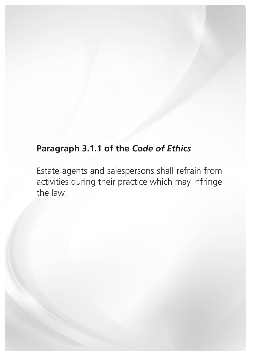# **Paragraph 3.1.1 of the** *Code of Ethics*

Estate agents and salespersons shall refrain from activities during their practice which may infringe the law.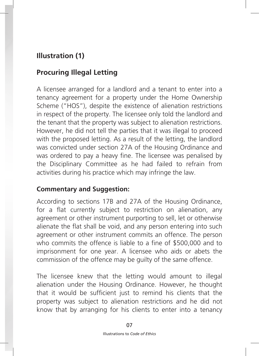# **Illustration (1)**

# **Procuring Illegal Letting**

A licensee arranged for a landlord and a tenant to enter into a tenancy agreement for a property under the Home Ownership Scheme ("HOS"), despite the existence of alienation restrictions in respect of the property. The licensee only told the landlord and the tenant that the property was subject to alienation restrictions. However, he did not tell the parties that it was illegal to proceed with the proposed letting. As a result of the letting, the landlord was convicted under section 27A of the Housing Ordinance and was ordered to pay a heavy fine. The licensee was penalised by the Disciplinary Committee as he had failed to refrain from activities during his practice which may infringe the law.

#### **Commentary and Suggestion:**

According to sections 17B and 27A of the Housing Ordinance, for a flat currently subject to restriction on alienation, any agreement or other instrument purporting to sell, let or otherwise alienate the flat shall be void, and any person entering into such agreement or other instrument commits an offence. The person who commits the offence is liable to a fine of \$500,000 and to imprisonment for one year. A licensee who aids or abets the commission of the offence may be guilty of the same offence.

The licensee knew that the letting would amount to illegal alienation under the Housing Ordinance. However, he thought that it would be sufficient just to remind his clients that the property was subject to alienation restrictions and he did not know that by arranging for his clients to enter into a tenancy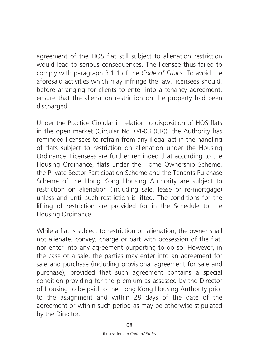agreement of the HOS flat still subject to alienation restriction would lead to serious consequences. The licensee thus failed to comply with paragraph 3.1.1 of the *Code of Ethics*. To avoid the aforesaid activities which may infringe the law, licensees should, before arranging for clients to enter into a tenancy agreement, ensure that the alienation restriction on the property had been discharged.

Under the Practice Circular in relation to disposition of HOS flats in the open market (Circular No. 04-03 (CR)), the Authority has reminded licensees to refrain from any illegal act in the handling of flats subject to restriction on alienation under the Housing Ordinance. Licensees are further reminded that according to the Housing Ordinance, flats under the Home Ownership Scheme, the Private Sector Participation Scheme and the Tenants Purchase Scheme of the Hong Kong Housing Authority are subject to restriction on alienation (including sale, lease or re-mortgage) unless and until such restriction is lifted. The conditions for the lifting of restriction are provided for in the Schedule to the Housing Ordinance.

While a flat is subject to restriction on alienation, the owner shall not alienate, convey, charge or part with possession of the flat, nor enter into any agreement purporting to do so. However, in the case of a sale, the parties may enter into an agreement for sale and purchase (including provisional agreement for sale and purchase), provided that such agreement contains a special condition providing for the premium as assessed by the Director of Housing to be paid to the Hong Kong Housing Authority prior to the assignment and within 28 days of the date of the agreement or within such period as may be otherwise stipulated by the Director.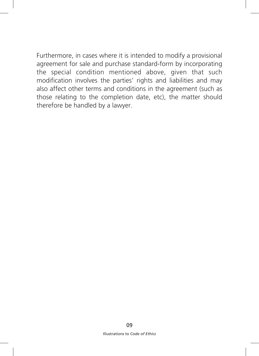Furthermore, in cases where it is intended to modify a provisional agreement for sale and purchase standard-form by incorporating the special condition mentioned above, given that such modification involves the parties' rights and liabilities and may also affect other terms and conditions in the agreement (such as those relating to the completion date, etc), the matter should therefore be handled by a lawyer.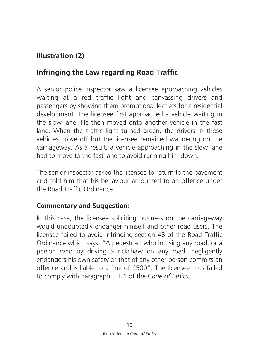# **Illustration (2)**

## **Infringing the Law regarding Road Traffic**

A senior police inspector saw a licensee approaching vehicles waiting at a red traffic light and canvassing drivers and passengers by showing them promotional leaflets for a residential development. The licensee first approached a vehicle waiting in the slow lane. He then moved onto another vehicle in the fast lane. When the traffic light turned green, the drivers in those vehicles drove off but the licensee remained wandering on the carriageway. As a result, a vehicle approaching in the slow lane had to move to the fast lane to avoid running him down.

The senior inspector asked the licensee to return to the pavement and told him that his behaviour amounted to an offence under the Road Traffic Ordinance.

#### **Commentary and Suggestion:**

In this case, the licensee soliciting business on the carriageway would undoubtedly endanger himself and other road users. The licensee failed to avoid infringing section 48 of the Road Traffic Ordinance which says: "A pedestrian who in using any road, or a person who by driving a rickshaw on any road, negligently endangers his own safety or that of any other person commits an offence and is liable to a fine of \$500". The licensee thus failed to comply with paragraph 3.1.1 of the *Code of Ethics*.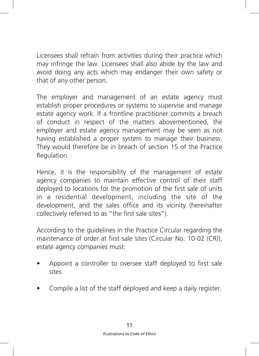Licensees shall refrain from activities during their practice which may infringe the law. Licensees shall also abide by the law and avoid doing any acts which may endanger their own safety or that of any other person.

The employer and management of an estate agency must establish proper procedures or systems to supervise and manage estate agency work. If a frontline practitioner commits a breach of conduct in respect of the matters abovementioned, the employer and estate agency management may be seen as not having established a proper system to manage their business. They would therefore be in breach of section 15 of the Practice Regulation.

Hence, it is the responsibility of the management of estate agency companies to maintain effective control of their staff deployed to locations for the promotion of the first sale of units in a residential development, including the site of the development, and the sales office and its vicinity (hereinafter collectively referred to as "the first sale sites").

According to the guidelines in the Practice Circular regarding the maintenance of order at first sale sites (Circular No. 10-02 (CR)), estate agency companies must:

- Appoint a controller to oversee staff deployed to first sale sites.
- Compile a list of the staff deployed and keep a daily register.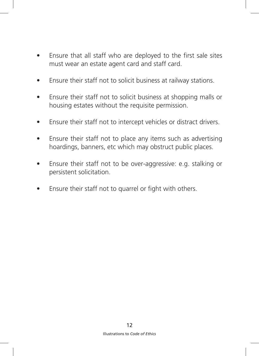- Ensure that all staff who are deployed to the first sale sites must wear an estate agent card and staff card.
- Ensure their staff not to solicit business at railway stations.
- Ensure their staff not to solicit business at shopping malls or housing estates without the requisite permission.
- Ensure their staff not to intercept vehicles or distract drivers.
- Ensure their staff not to place any items such as advertising hoardings, banners, etc which may obstruct public places.
- Ensure their staff not to be over-aggressive: e.g. stalking or persistent solicitation.
- Ensure their staff not to quarrel or fight with others.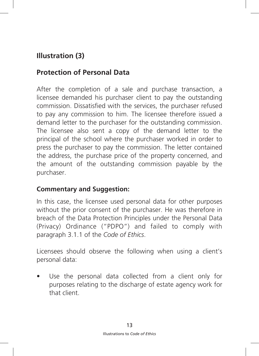# **Illustration (3)**

## **Protection of Personal Data**

After the completion of a sale and purchase transaction, a licensee demanded his purchaser client to pay the outstanding commission. Dissatisfied with the services, the purchaser refused to pay any commission to him. The licensee therefore issued a demand letter to the purchaser for the outstanding commission. The licensee also sent a copy of the demand letter to the principal of the school where the purchaser worked in order to press the purchaser to pay the commission. The letter contained the address, the purchase price of the property concerned, and the amount of the outstanding commission payable by the purchaser.

#### **Commentary and Suggestion:**

In this case, the licensee used personal data for other purposes without the prior consent of the purchaser. He was therefore in breach of the Data Protection Principles under the Personal Data (Privacy) Ordinance ("PDPO") and failed to comply with paragraph 3.1.1 of the *Code of Ethics*.

Licensees should observe the following when using a client's personal data:

Use the personal data collected from a client only for purposes relating to the discharge of estate agency work for that client.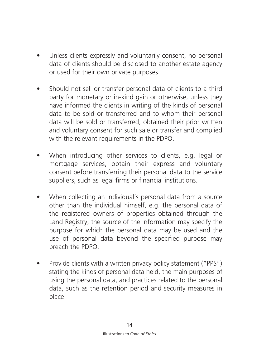- Unless clients expressly and voluntarily consent, no personal data of clients should be disclosed to another estate agency or used for their own private purposes.
- Should not sell or transfer personal data of clients to a third party for monetary or in-kind gain or otherwise, unless they have informed the clients in writing of the kinds of personal data to be sold or transferred and to whom their personal data will be sold or transferred, obtained their prior written and voluntary consent for such sale or transfer and complied with the relevant requirements in the PDPO.
- When introducing other services to clients, e.g. legal or mortgage services, obtain their express and voluntary consent before transferring their personal data to the service suppliers, such as legal firms or financial institutions.
- When collecting an individual's personal data from a source other than the individual himself, e.g. the personal data of the registered owners of properties obtained through the Land Registry, the source of the information may specify the purpose for which the personal data may be used and the use of personal data beyond the specified purpose may breach the PDPO.
- Provide clients with a written privacy policy statement ("PPS") stating the kinds of personal data held, the main purposes of using the personal data, and practices related to the personal data, such as the retention period and security measures in place.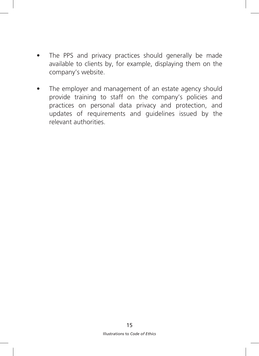- The PPS and privacy practices should generally be made available to clients by, for example, displaying them on the company's website.
- The employer and management of an estate agency should provide training to staff on the company's policies and practices on personal data privacy and protection, and updates of requirements and guidelines issued by the relevant authorities.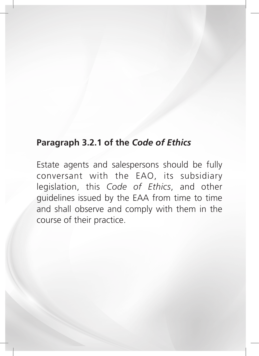# **Paragraph 3.2.1 of the** *Code of Ethics*

Estate agents and salespersons should be fully conversant with the EAO, its subsidiary legislation, this *Code of Ethics*, and other guidelines issued by the EAA from time to time and shall observe and comply with them in the course of their practice.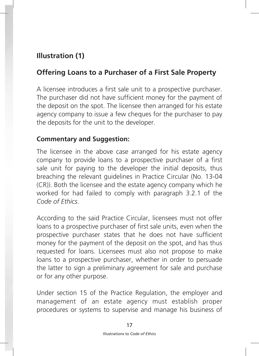# **Illustration (1)**

#### **Offering Loans to a Purchaser of a First Sale Property**

A licensee introduces a first sale unit to a prospective purchaser. The purchaser did not have sufficient money for the payment of the deposit on the spot. The licensee then arranged for his estate agency company to issue a few cheques for the purchaser to pay the deposits for the unit to the developer.

#### **Commentary and Suggestion:**

The licensee in the above case arranged for his estate agency company to provide loans to a prospective purchaser of a first sale unit for paying to the developer the initial deposits, thus breaching the relevant guidelines in Practice Circular (No. 13-04 (CR)). Both the licensee and the estate agency company which he worked for had failed to comply with paragraph 3.2.1 of the *Code of Ethics*.

According to the said Practice Circular, licensees must not offer loans to a prospective purchaser of first sale units, even when the prospective purchaser states that he does not have sufficient money for the payment of the deposit on the spot, and has thus requested for loans. Licensees must also not propose to make loans to a prospective purchaser, whether in order to persuade the latter to sign a preliminary agreement for sale and purchase or for any other purpose.

Under section 15 of the Practice Regulation, the employer and management of an estate agency must establish proper procedures or systems to supervise and manage his business of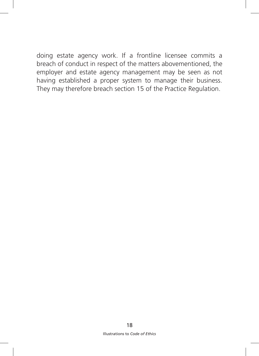doing estate agency work. If a frontline licensee commits a breach of conduct in respect of the matters abovementioned, the employer and estate agency management may be seen as not having established a proper system to manage their business. They may therefore breach section 15 of the Practice Regulation.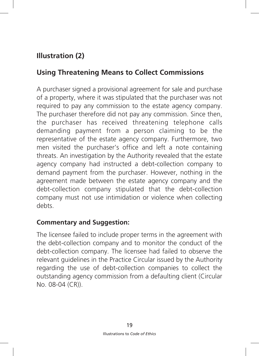# **Illustration (2)**

## **Using Threatening Means to Collect Commissions**

A purchaser signed a provisional agreement for sale and purchase of a property, where it was stipulated that the purchaser was not required to pay any commission to the estate agency company. The purchaser therefore did not pay any commission. Since then, the purchaser has received threatening telephone calls demanding payment from a person claiming to be the representative of the estate agency company. Furthermore, two men visited the purchaser's office and left a note containing threats. An investigation by the Authority revealed that the estate agency company had instructed a debt-collection company to demand payment from the purchaser. However, nothing in the agreement made between the estate agency company and the debt-collection company stipulated that the debt-collection company must not use intimidation or violence when collecting debts.

#### **Commentary and Suggestion:**

The licensee failed to include proper terms in the agreement with the debt-collection company and to monitor the conduct of the debt-collection company. The licensee had failed to observe the relevant guidelines in the Practice Circular issued by the Authority regarding the use of debt-collection companies to collect the outstanding agency commission from a defaulting client (Circular No. 08-04 (CR)).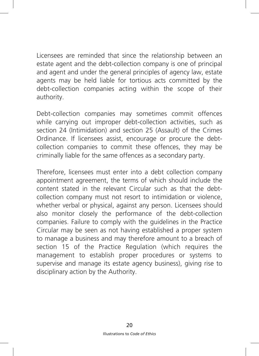Licensees are reminded that since the relationship between an estate agent and the debt-collection company is one of principal and agent and under the general principles of agency law, estate agents may be held liable for tortious acts committed by the debt-collection companies acting within the scope of their authority.

Debt-collection companies may sometimes commit offences while carrying out improper debt-collection activities, such as section 24 (Intimidation) and section 25 (Assault) of the Crimes Ordinance. If licensees assist, encourage or procure the debtcollection companies to commit these offences, they may be criminally liable for the same offences as a secondary party.

Therefore, licensees must enter into a debt collection company appointment agreement, the terms of which should include the content stated in the relevant Circular such as that the debtcollection company must not resort to intimidation or violence, whether verbal or physical, against any person. Licensees should also monitor closely the performance of the debt-collection companies. Failure to comply with the guidelines in the Practice Circular may be seen as not having established a proper system to manage a business and may therefore amount to a breach of section 15 of the Practice Regulation (which requires the management to establish proper procedures or systems to supervise and manage its estate agency business), giving rise to disciplinary action by the Authority.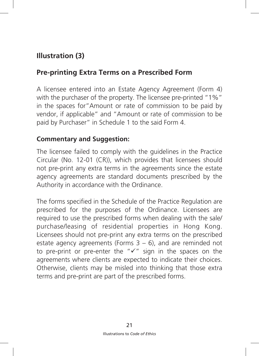# **Illustration (3)**

#### **Pre-printing Extra Terms on a Prescribed Form**

A licensee entered into an Estate Agency Agreement (Form 4) with the purchaser of the property. The licensee pre-printed "1%" in the spaces for"Amount or rate of commission to be paid by vendor, if applicable" and "Amount or rate of commission to be paid by Purchaser" in Schedule 1 to the said Form 4.

#### **Commentary and Suggestion:**

The licensee failed to comply with the guidelines in the Practice Circular (No. 12-01 (CR)), which provides that licensees should not pre-print any extra terms in the agreements since the estate agency agreements are standard documents prescribed by the Authority in accordance with the Ordinance.

The forms specified in the Schedule of the Practice Regulation are prescribed for the purposes of the Ordinance. Licensees are required to use the prescribed forms when dealing with the sale/ purchase/leasing of residential properties in Hong Kong. Licensees should not pre-print any extra terms on the prescribed estate agency agreements (Forms  $3 - 6$ ), and are reminded not to pre-print or pre-enter the " $\checkmark$ " sign in the spaces on the agreements where clients are expected to indicate their choices. Otherwise, clients may be misled into thinking that those extra terms and pre-print are part of the prescribed forms.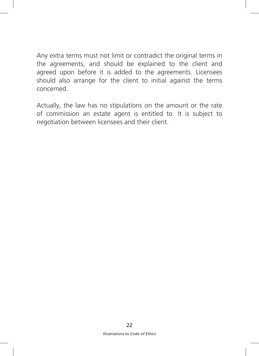Any extra terms must not limit or contradict the original terms in the agreements, and should be explained to the client and agreed upon before it is added to the agreements. Licensees should also arrange for the client to initial against the terms concerned.

Actually, the law has no stipulations on the amount or the rate of commission an estate agent is entitled to. It is subject to negotiation between licensees and their client.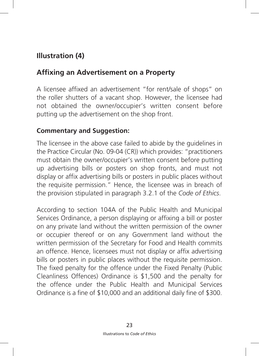# **Illustration (4)**

## **Affixing an Advertisement on a Property**

A licensee affixed an advertisement "for rent/sale of shops" on the roller shutters of a vacant shop. However, the licensee had not obtained the owner/occupier's written consent before putting up the advertisement on the shop front.

#### **Commentary and Suggestion:**

The licensee in the above case failed to abide by the guidelines in the Practice Circular (No. 09-04 (CR)) which provides: "practitioners must obtain the owner/occupier's written consent before putting up advertising bills or posters on shop fronts, and must not display or affix advertising bills or posters in public places without the requisite permission." Hence, the licensee was in breach of the provision stipulated in paragraph 3.2.1 of the *Code of Ethics*.

According to section 104A of the Public Health and Municipal Services Ordinance, a person displaying or affixing a bill or poster on any private land without the written permission of the owner or occupier thereof or on any Government land without the written permission of the Secretary for Food and Health commits an offence. Hence, licensees must not display or affix advertising bills or posters in public places without the requisite permission. The fixed penalty for the offence under the Fixed Penalty (Public Cleanliness Offences) Ordinance is \$1,500 and the penalty for the offence under the Public Health and Municipal Services Ordinance is a fine of \$10,000 and an additional daily fine of \$300.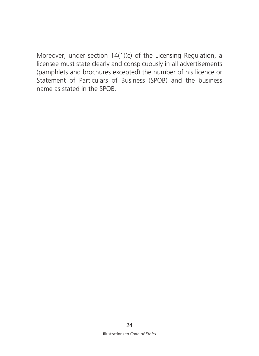Moreover, under section 14(1)(c) of the Licensing Regulation, a licensee must state clearly and conspicuously in all advertisements (pamphlets and brochures excepted) the number of his licence or Statement of Particulars of Business (SPOB) and the business name as stated in the SPOB.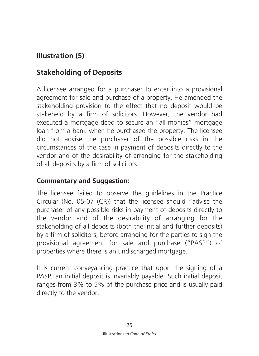# **Illustration (5)**

# **Stakeholding of Deposits**

A licensee arranged for a purchaser to enter into a provisional agreement for sale and purchase of a property. He amended the stakeholding provision to the effect that no deposit would be stakeheld by a firm of solicitors. However, the vendor had executed a mortgage deed to secure an "all monies" mortgage loan from a bank when he purchased the property. The licensee did not advise the purchaser of the possible risks in the circumstances of the case in payment of deposits directly to the vendor and of the desirability of arranging for the stakeholding of all deposits by a firm of solicitors.

#### **Commentary and Suggestion:**

The licensee failed to observe the guidelines in the Practice Circular (No. 05-07 (CR)) that the licensee should "advise the purchaser of any possible risks in payment of deposits directly to the vendor and of the desirability of arranging for the stakeholding of all deposits (both the initial and further deposits) by a firm of solicitors, before arranging for the parties to sign the provisional agreement for sale and purchase ("PASP") of properties where there is an undischarged mortgage."

It is current conveyancing practice that upon the signing of a PASP, an initial deposit is invariably payable. Such initial deposit ranges from 3% to 5% of the purchase price and is usually paid directly to the vendor.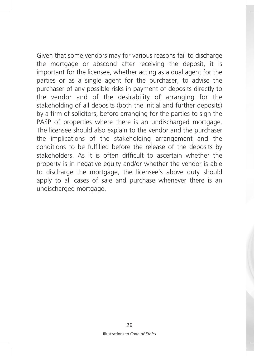Given that some vendors may for various reasons fail to discharge the mortgage or abscond after receiving the deposit, it is important for the licensee, whether acting as a dual agent for the parties or as a single agent for the purchaser, to advise the purchaser of any possible risks in payment of deposits directly to the vendor and of the desirability of arranging for the stakeholding of all deposits (both the initial and further deposits) by a firm of solicitors, before arranging for the parties to sign the PASP of properties where there is an undischarged mortgage. The licensee should also explain to the vendor and the purchaser the implications of the stakeholding arrangement and the conditions to be fulfilled before the release of the deposits by stakeholders. As it is often difficult to ascertain whether the property is in negative equity and/or whether the vendor is able to discharge the mortgage, the licensee's above duty should apply to all cases of sale and purchase whenever there is an undischarged mortgage.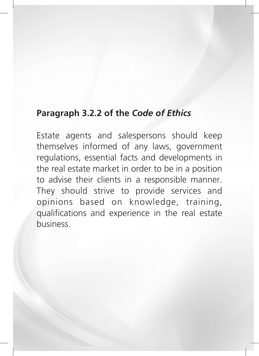# **Paragraph 3.2.2 of the** *Code of Ethics*

Estate agents and salespersons should keep themselves informed of any laws, government regulations, essential facts and developments in the real estate market in order to be in a position to advise their clients in a responsible manner. They should strive to provide services and opinions based on knowledge, training, qualifications and experience in the real estate business.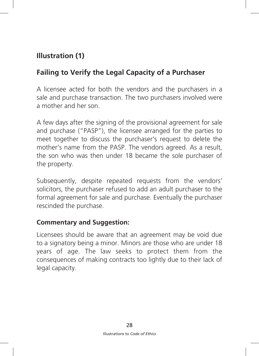# **Illustration (1)**

# **Failing to Verify the Legal Capacity of a Purchaser**

A licensee acted for both the vendors and the purchasers in a sale and purchase transaction. The two purchasers involved were a mother and her son.

A few days after the signing of the provisional agreement for sale and purchase ("PASP"), the licensee arranged for the parties to meet together to discuss the purchaser's request to delete the mother's name from the PASP. The vendors agreed. As a result, the son who was then under 18 became the sole purchaser of the property.

Subsequently, despite repeated requests from the vendors' solicitors, the purchaser refused to add an adult purchaser to the formal agreement for sale and purchase. Eventually the purchaser rescinded the purchase.

#### **Commentary and Suggestion:**

Licensees should be aware that an agreement may be void due to a signatory being a minor. Minors are those who are under 18 years of age. The law seeks to protect them from the consequences of making contracts too lightly due to their lack of legal capacity.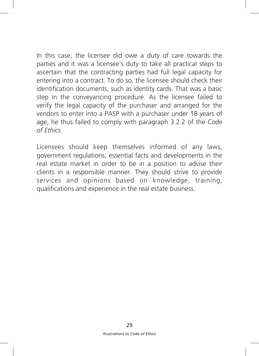In this case, the licensee did owe a duty of care towards the parties and it was a licensee's duty to take all practical steps to ascertain that the contracting parties had full legal capacity for entering into a contract. To do so, the licensee should check their identification documents, such as identity cards. That was a basic step in the conveyancing procedure. As the licensee failed to verify the legal capacity of the purchaser and arranged for the vendors to enter into a PASP with a purchaser under 18 years of age, he thus failed to comply with paragraph 3.2.2 of the *Code of Ethics*.

Licensees should keep themselves informed of any laws, government regulations, essential facts and developments in the real estate market in order to be in a position to advise their clients in a responsible manner. They should strive to provide services and opinions based on knowledge, training, qualifications and experience in the real estate business.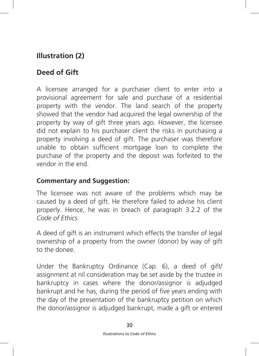# **Illustration (2)**

# **Deed of Gift**

A licensee arranged for a purchaser client to enter into a provisional agreement for sale and purchase of a residential property with the vendor. The land search of the property showed that the vendor had acquired the legal ownership of the property by way of gift three years ago. However, the licensee did not explain to his purchaser client the risks in purchasing a property involving a deed of gift. The purchaser was therefore unable to obtain sufficient mortgage loan to complete the purchase of the property and the deposit was forfeited to the vendor in the end.

#### **Commentary and Suggestion:**

The licensee was not aware of the problems which may be caused by a deed of gift. He therefore failed to advise his client properly. Hence, he was in breach of paragraph 3.2.2 of the *Code of Ethics*.

A deed of gift is an instrument which effects the transfer of legal ownership of a property from the owner (donor) by way of gift to the donee.

Under the Bankruptcy Ordinance (Cap. 6), a deed of gift/ assignment at nil consideration may be set aside by the trustee in bankruptcy in cases where the donor/assignor is adjudged bankrupt and he has, during the period of five years ending with the day of the presentation of the bankruptcy petition on which the donor/assignor is adjudged bankrupt, made a gift or entered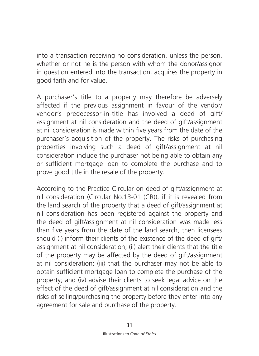into a transaction receiving no consideration, unless the person, whether or not he is the person with whom the donor/assignor in question entered into the transaction, acquires the property in good faith and for value.

A purchaser's title to a property may therefore be adversely affected if the previous assignment in favour of the vendor/ vendor's predecessor-in-title has involved a deed of gift/ assignment at nil consideration and the deed of gift/assignment at nil consideration is made within five years from the date of the purchaser's acquisition of the property. The risks of purchasing properties involving such a deed of gift/assignment at nil consideration include the purchaser not being able to obtain any or sufficient mortgage loan to complete the purchase and to prove good title in the resale of the property.

According to the Practice Circular on deed of gift/assignment at nil consideration (Circular No.13-01 (CR)), if it is revealed from the land search of the property that a deed of gift/assignment at nil consideration has been registered against the property and the deed of gift/assignment at nil consideration was made less than five years from the date of the land search, then licensees should (i) inform their clients of the existence of the deed of gift/ assignment at nil consideration; (ii) alert their clients that the title of the property may be affected by the deed of gift/assignment at nil consideration; (iii) that the purchaser may not be able to obtain sufficient mortgage loan to complete the purchase of the property; and (iv) advise their clients to seek legal advice on the effect of the deed of gift/assignment at nil consideration and the risks of selling/purchasing the property before they enter into any agreement for sale and purchase of the property.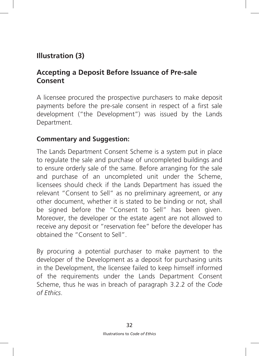# **Illustration (3)**

#### **Accepting a Deposit Before Issuance of Pre-sale Consent**

A licensee procured the prospective purchasers to make deposit payments before the pre-sale consent in respect of a first sale development ("the Development") was issued by the Lands Department.

#### **Commentary and Suggestion:**

The Lands Department Consent Scheme is a system put in place to regulate the sale and purchase of uncompleted buildings and to ensure orderly sale of the same. Before arranging for the sale and purchase of an uncompleted unit under the Scheme, licensees should check if the Lands Department has issued the relevant "Consent to Sell" as no preliminary agreement, or any other document, whether it is stated to be binding or not, shall be signed before the "Consent to Sell" has been given. Moreover, the developer or the estate agent are not allowed to receive any deposit or "reservation fee" before the developer has obtained the "Consent to Sell".

By procuring a potential purchaser to make payment to the developer of the Development as a deposit for purchasing units in the Development, the licensee failed to keep himself informed of the requirements under the Lands Department Consent Scheme, thus he was in breach of paragraph 3.2.2 of the *Code of Ethics*.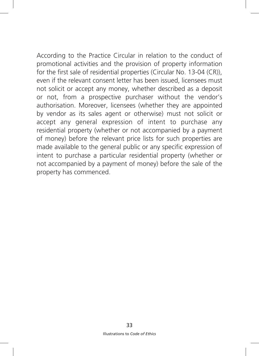According to the Practice Circular in relation to the conduct of promotional activities and the provision of property information for the first sale of residential properties (Circular No. 13-04 (CR)), even if the relevant consent letter has been issued, licensees must not solicit or accept any money, whether described as a deposit or not, from a prospective purchaser without the vendor's authorisation. Moreover, licensees (whether they are appointed by vendor as its sales agent or otherwise) must not solicit or accept any general expression of intent to purchase any residential property (whether or not accompanied by a payment of money) before the relevant price lists for such properties are made available to the general public or any specific expression of intent to purchase a particular residential property (whether or not accompanied by a payment of money) before the sale of the property has commenced.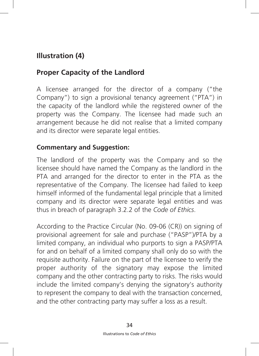# **Illustration (4)**

# **Proper Capacity of the Landlord**

A licensee arranged for the director of a company ("the Company") to sign a provisional tenancy agreement ("PTA") in the capacity of the landlord while the registered owner of the property was the Company. The licensee had made such an arrangement because he did not realise that a limited company and its director were separate legal entities.

#### **Commentary and Suggestion:**

The landlord of the property was the Company and so the licensee should have named the Company as the landlord in the PTA and arranged for the director to enter in the PTA as the representative of the Company. The licensee had failed to keep himself informed of the fundamental legal principle that a limited company and its director were separate legal entities and was thus in breach of paragraph 3.2.2 of the *Code of Ethics*.

According to the Practice Circular (No. 09-06 (CR)) on signing of provisional agreement for sale and purchase ("PASP")/PTA by a limited company, an individual who purports to sign a PASP/PTA for and on behalf of a limited company shall only do so with the requisite authority. Failure on the part of the licensee to verify the proper authority of the signatory may expose the limited company and the other contracting party to risks. The risks would include the limited company's denying the signatory's authority to represent the company to deal with the transaction concerned, and the other contracting party may suffer a loss as a result.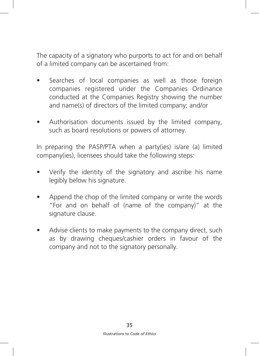The capacity of a signatory who purports to act for and on behalf of a limited company can be ascertained from:

- Searches of local companies as well as those foreign companies registered under the Companies Ordinance conducted at the Companies Registry showing the number and name(s) of directors of the limited company; and/or
- Authorisation documents issued by the limited company, such as board resolutions or powers of attorney.

In preparing the PASP/PTA when a party(ies) is/are (a) limited company(ies), licensees should take the following steps:

- Verify the identity of the signatory and ascribe his name legibly below his signature.
- Append the chop of the limited company or write the words "For and on behalf of (name of the company)" at the signature clause.
- Advise clients to make payments to the company direct, such as by drawing cheques/cashier orders in favour of the company and not to the signatory personally.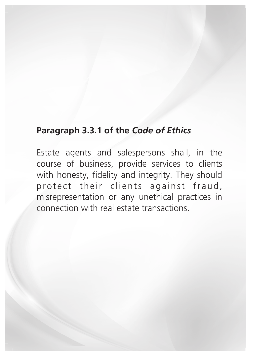# **Paragraph 3.3.1 of the** *Code of Ethics*

Estate agents and salespersons shall, in the course of business, provide services to clients with honesty, fidelity and integrity. They should protect their clients against fraud, misrepresentation or any unethical practices in connection with real estate transactions.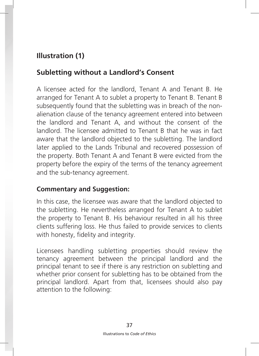# **Illustration (1)**

# **Subletting without a Landlord's Consent**

A licensee acted for the landlord, Tenant A and Tenant B. He arranged for Tenant A to sublet a property to Tenant B. Tenant B subsequently found that the subletting was in breach of the nonalienation clause of the tenancy agreement entered into between the landlord and Tenant A, and without the consent of the landlord. The licensee admitted to Tenant B that he was in fact aware that the landlord objected to the subletting. The landlord later applied to the Lands Tribunal and recovered possession of the property. Both Tenant A and Tenant B were evicted from the property before the expiry of the terms of the tenancy agreement and the sub-tenancy agreement.

#### **Commentary and Suggestion:**

In this case, the licensee was aware that the landlord objected to the subletting. He nevertheless arranged for Tenant A to sublet the property to Tenant B. His behaviour resulted in all his three clients suffering loss. He thus failed to provide services to clients with honesty, fidelity and integrity.

Licensees handling subletting properties should review the tenancy agreement between the principal landlord and the principal tenant to see if there is any restriction on subletting and whether prior consent for subletting has to be obtained from the principal landlord. Apart from that, licensees should also pay attention to the following: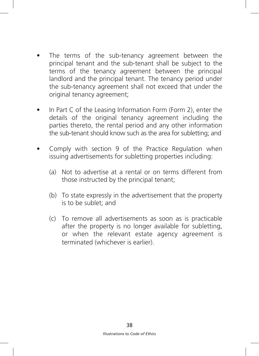- The terms of the sub-tenancy agreement between the principal tenant and the sub-tenant shall be subject to the terms of the tenancy agreement between the principal landlord and the principal tenant. The tenancy period under the sub-tenancy agreement shall not exceed that under the original tenancy agreement;
- In Part C of the Leasing Information Form (Form 2), enter the details of the original tenancy agreement including the parties thereto, the rental period and any other information the sub-tenant should know such as the area for subletting; and
- Comply with section 9 of the Practice Regulation when issuing advertisements for subletting properties including:
	- (a) Not to advertise at a rental or on terms different from those instructed by the principal tenant;
	- (b) To state expressly in the advertisement that the property is to be sublet; and
	- (c) To remove all advertisements as soon as is practicable after the property is no longer available for subletting, or when the relevant estate agency agreement is terminated (whichever is earlier).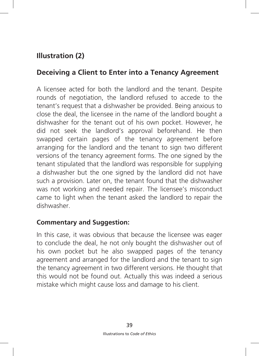# **Illustration (2)**

# **Deceiving a Client to Enter into a Tenancy Agreement**

A licensee acted for both the landlord and the tenant. Despite rounds of negotiation, the landlord refused to accede to the tenant's request that a dishwasher be provided. Being anxious to close the deal, the licensee in the name of the landlord bought a dishwasher for the tenant out of his own pocket. However, he did not seek the landlord's approval beforehand. He then swapped certain pages of the tenancy agreement before arranging for the landlord and the tenant to sign two different versions of the tenancy agreement forms. The one signed by the tenant stipulated that the landlord was responsible for supplying a dishwasher but the one signed by the landlord did not have such a provision. Later on, the tenant found that the dishwasher was not working and needed repair. The licensee's misconduct came to light when the tenant asked the landlord to repair the dishwasher.

#### **Commentary and Suggestion:**

In this case, it was obvious that because the licensee was eager to conclude the deal, he not only bought the dishwasher out of his own pocket but he also swapped pages of the tenancy agreement and arranged for the landlord and the tenant to sign the tenancy agreement in two different versions. He thought that this would not be found out. Actually this was indeed a serious mistake which might cause loss and damage to his client.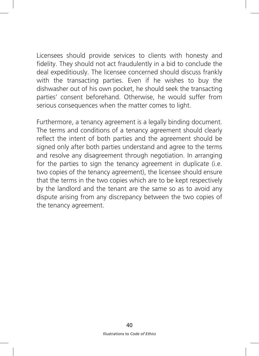Licensees should provide services to clients with honesty and fidelity. They should not act fraudulently in a bid to conclude the deal expeditiously. The licensee concerned should discuss frankly with the transacting parties. Even if he wishes to buy the dishwasher out of his own pocket, he should seek the transacting parties' consent beforehand. Otherwise, he would suffer from serious consequences when the matter comes to light.

Furthermore, a tenancy agreement is a legally binding document. The terms and conditions of a tenancy agreement should clearly reflect the intent of both parties and the agreement should be signed only after both parties understand and agree to the terms and resolve any disagreement through negotiation. In arranging for the parties to sign the tenancy agreement in duplicate (i.e. two copies of the tenancy agreement), the licensee should ensure that the terms in the two copies which are to be kept respectively by the landlord and the tenant are the same so as to avoid any dispute arising from any discrepancy between the two copies of the tenancy agreement.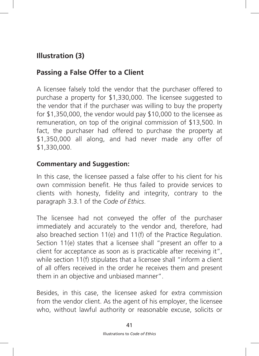# **Illustration (3)**

# **Passing a False Offer to a Client**

A licensee falsely told the vendor that the purchaser offered to purchase a property for \$1,330,000. The licensee suggested to the vendor that if the purchaser was willing to buy the property for \$1,350,000, the vendor would pay \$10,000 to the licensee as remuneration, on top of the original commission of \$13,500. In fact, the purchaser had offered to purchase the property at \$1,350,000 all along, and had never made any offer of \$1,330,000.

#### **Commentary and Suggestion:**

In this case, the licensee passed a false offer to his client for his own commission benefit. He thus failed to provide services to clients with honesty, fidelity and integrity, contrary to the paragraph 3.3.1 of the *Code of Ethics*.

The licensee had not conveyed the offer of the purchaser immediately and accurately to the vendor and, therefore, had also breached section 11(e) and 11(f) of the Practice Regulation. Section 11(e) states that a licensee shall "present an offer to a client for acceptance as soon as is practicable after receiving it", while section 11(f) stipulates that a licensee shall "inform a client of all offers received in the order he receives them and present them in an objective and unbiased manner".

Besides, in this case, the licensee asked for extra commission from the vendor client. As the agent of his employer, the licensee who, without lawful authority or reasonable excuse, solicits or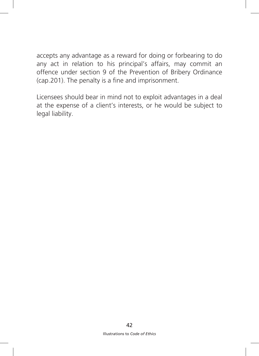accepts any advantage as a reward for doing or forbearing to do any act in relation to his principal's affairs, may commit an offence under section 9 of the Prevention of Bribery Ordinance (cap.201). The penalty is a fine and imprisonment.

Licensees should bear in mind not to exploit advantages in a deal at the expense of a client's interests, or he would be subject to legal liability.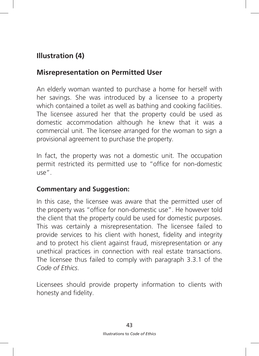# **Illustration (4)**

# **Misrepresentation on Permitted User**

An elderly woman wanted to purchase a home for herself with her savings. She was introduced by a licensee to a property which contained a toilet as well as bathing and cooking facilities. The licensee assured her that the property could be used as domestic accommodation although he knew that it was a commercial unit. The licensee arranged for the woman to sign a provisional agreement to purchase the property.

In fact, the property was not a domestic unit. The occupation permit restricted its permitted use to "office for non-domestic use".

#### **Commentary and Suggestion:**

In this case, the licensee was aware that the permitted user of the property was "office for non-domestic use". He however told the client that the property could be used for domestic purposes. This was certainly a misrepresentation. The licensee failed to provide services to his client with honest, fidelity and integrity and to protect his client against fraud, misrepresentation or any unethical practices in connection with real estate transactions. The licensee thus failed to comply with paragraph 3.3.1 of the *Code of Ethics*.

Licensees should provide property information to clients with honesty and fidelity.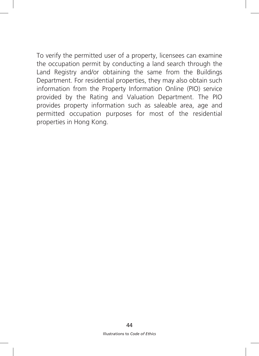To verify the permitted user of a property, licensees can examine the occupation permit by conducting a land search through the Land Registry and/or obtaining the same from the Buildings Department. For residential properties, they may also obtain such information from the Property Information Online (PIO) service provided by the Rating and Valuation Department. The PIO provides property information such as saleable area, age and permitted occupation purposes for most of the residential properties in Hong Kong.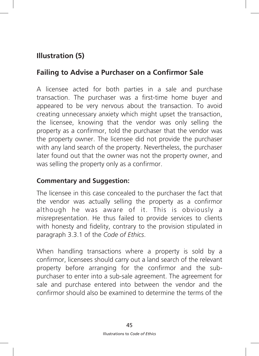# **Illustration (5)**

# **Failing to Advise a Purchaser on a Confirmor Sale**

A licensee acted for both parties in a sale and purchase transaction. The purchaser was a first-time home buyer and appeared to be very nervous about the transaction. To avoid creating unnecessary anxiety which might upset the transaction, the licensee, knowing that the vendor was only selling the property as a confirmor, told the purchaser that the vendor was the property owner. The licensee did not provide the purchaser with any land search of the property. Nevertheless, the purchaser later found out that the owner was not the property owner, and was selling the property only as a confirmor.

#### **Commentary and Suggestion:**

The licensee in this case concealed to the purchaser the fact that the vendor was actually selling the property as a confirmor although he was aware of it. This is obviously a misrepresentation. He thus failed to provide services to clients with honesty and fidelity, contrary to the provision stipulated in paragraph 3.3.1 of the *Code of Ethics*.

When handling transactions where a property is sold by a confirmor, licensees should carry out a land search of the relevant property before arranging for the confirmor and the subpurchaser to enter into a sub-sale agreement. The agreement for sale and purchase entered into between the vendor and the confirmor should also be examined to determine the terms of the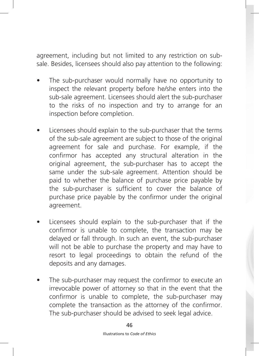agreement, including but not limited to any restriction on subsale. Besides, licensees should also pay attention to the following:

- The sub-purchaser would normally have no opportunity to inspect the relevant property before he/she enters into the sub-sale agreement. Licensees should alert the sub-purchaser to the risks of no inspection and try to arrange for an inspection before completion.
- Licensees should explain to the sub-purchaser that the terms of the sub-sale agreement are subject to those of the original agreement for sale and purchase. For example, if the confirmor has accepted any structural alteration in the original agreement, the sub-purchaser has to accept the same under the sub-sale agreement. Attention should be paid to whether the balance of purchase price payable by the sub-purchaser is sufficient to cover the balance of purchase price payable by the confirmor under the original agreement.
- Licensees should explain to the sub-purchaser that if the confirmor is unable to complete, the transaction may be delayed or fall through. In such an event, the sub-purchaser will not be able to purchase the property and may have to resort to legal proceedings to obtain the refund of the deposits and any damages.
- The sub-purchaser may request the confirmor to execute an irrevocable power of attorney so that in the event that the confirmor is unable to complete, the sub-purchaser may complete the transaction as the attorney of the confirmor. The sub-purchaser should be advised to seek legal advice.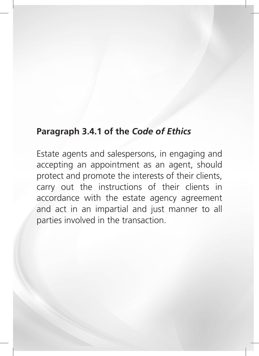# **Paragraph 3.4.1 of the** *Code of Ethics*

Estate agents and salespersons, in engaging and accepting an appointment as an agent, should protect and promote the interests of their clients, carry out the instructions of their clients in accordance with the estate agency agreement and act in an impartial and just manner to all parties involved in the transaction.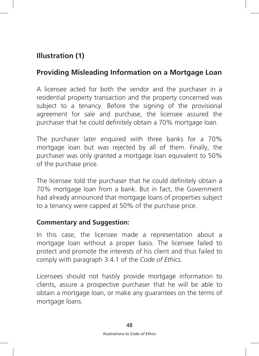# **Illustration (1)**

# **Providing Misleading Information on a Mortgage Loan**

A licensee acted for both the vendor and the purchaser in a residential property transaction and the property concerned was subject to a tenancy. Before the signing of the provisional agreement for sale and purchase, the licensee assured the purchaser that he could definitely obtain a 70% mortgage loan.

The purchaser later enquired with three banks for a 70% mortgage loan but was rejected by all of them. Finally, the purchaser was only granted a mortgage loan equivalent to 50% of the purchase price.

The licensee told the purchaser that he could definitely obtain a 70% mortgage loan from a bank. But in fact, the Government had already announced that mortgage loans of properties subject to a tenancy were capped at 50% of the purchase price.

#### **Commentary and Suggestion:**

In this case, the licensee made a representation about a mortgage loan without a proper basis. The licensee failed to protect and promote the interests of his client and thus failed to comply with paragraph 3.4.1 of the *Code of Ethics*.

Licensees should not hastily provide mortgage information to clients, assure a prospective purchaser that he will be able to obtain a mortgage loan, or make any guarantees on the terms of mortgage loans.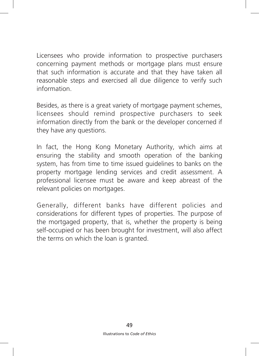Licensees who provide information to prospective purchasers concerning payment methods or mortgage plans must ensure that such information is accurate and that they have taken all reasonable steps and exercised all due diligence to verify such information.

Besides, as there is a great variety of mortgage payment schemes, licensees should remind prospective purchasers to seek information directly from the bank or the developer concerned if they have any questions.

In fact, the Hong Kong Monetary Authority, which aims at ensuring the stability and smooth operation of the banking system, has from time to time issued guidelines to banks on the property mortgage lending services and credit assessment. A professional licensee must be aware and keep abreast of the relevant policies on mortgages.

Generally, different banks have different policies and considerations for different types of properties. The purpose of the mortgaged property, that is, whether the property is being self-occupied or has been brought for investment, will also affect the terms on which the loan is granted.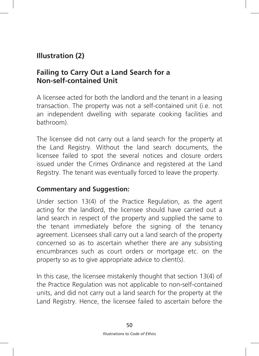# **Illustration (2)**

## **Failing to Carry Out a Land Search for a Non-self-contained Unit**

A licensee acted for both the landlord and the tenant in a leasing transaction. The property was not a self-contained unit (i.e. not an independent dwelling with separate cooking facilities and bathroom).

The licensee did not carry out a land search for the property at the Land Registry. Without the land search documents, the licensee failed to spot the several notices and closure orders issued under the Crimes Ordinance and registered at the Land Registry. The tenant was eventually forced to leave the property.

#### **Commentary and Suggestion:**

Under section 13(4) of the Practice Regulation, as the agent acting for the landlord, the licensee should have carried out a land search in respect of the property and supplied the same to the tenant immediately before the signing of the tenancy agreement. Licensees shall carry out a land search of the property concerned so as to ascertain whether there are any subsisting encumbrances such as court orders or mortgage etc. on the property so as to give appropriate advice to client(s).

In this case, the licensee mistakenly thought that section 13(4) of the Practice Regulation was not applicable to non-self-contained units, and did not carry out a land search for the property at the Land Registry. Hence, the licensee failed to ascertain before the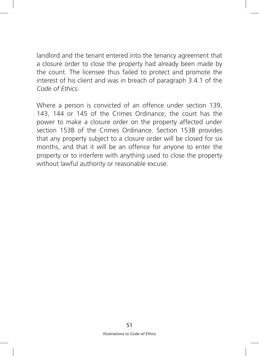landlord and the tenant entered into the tenancy agreement that a closure order to close the property had already been made by the count. The licensee thus failed to protect and promote the interest of his client and was in breach of paragraph 3.4.1 of the *Code of Ethics*.

Where a person is convicted of an offence under section 139, 143, 144 or 145 of the Crimes Ordinance, the court has the power to make a closure order on the property affected under section 153B of the Crimes Ordinance. Section 153B provides that any property subject to a closure order will be closed for six months, and that it will be an offence for anyone to enter the property or to interfere with anything used to close the property without lawful authority or reasonable excuse.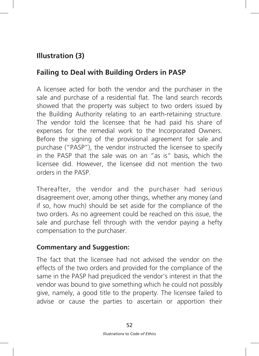# **Illustration (3)**

# **Failing to Deal with Building Orders in PASP**

A licensee acted for both the vendor and the purchaser in the sale and purchase of a residential flat. The land search records showed that the property was subject to two orders issued by the Building Authority relating to an earth-retaining structure. The vendor told the licensee that he had paid his share of expenses for the remedial work to the Incorporated Owners. Before the signing of the provisional agreement for sale and purchase ("PASP"), the vendor instructed the licensee to specify in the PASP that the sale was on an "as is" basis, which the licensee did. However, the licensee did not mention the two orders in the PASP.

Thereafter, the vendor and the purchaser had serious disagreement over, among other things, whether any money (and if so, how much) should be set aside for the compliance of the two orders. As no agreement could be reached on this issue, the sale and purchase fell through with the vendor paying a hefty compensation to the purchaser.

#### **Commentary and Suggestion:**

The fact that the licensee had not advised the vendor on the effects of the two orders and provided for the compliance of the same in the PASP had prejudiced the vendor's interest in that the vendor was bound to give something which he could not possibly give, namely, a good title to the property. The licensee failed to advise or cause the parties to ascertain or apportion their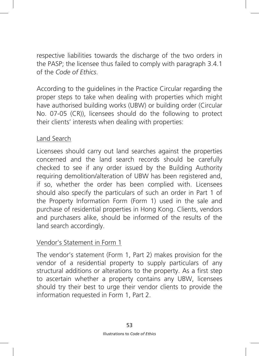respective liabilities towards the discharge of the two orders in the PASP; the licensee thus failed to comply with paragraph 3.4.1 of the *Code of Ethics*.

According to the guidelines in the Practice Circular regarding the proper steps to take when dealing with properties which might have authorised building works (UBW) or building order (Circular No. 07-05 (CR)), licensees should do the following to protect their clients' interests when dealing with properties:

#### Land Search

Licensees should carry out land searches against the properties concerned and the land search records should be carefully checked to see if any order issued by the Building Authority requiring demolition/alteration of UBW has been registered and, if so, whether the order has been complied with. Licensees should also specify the particulars of such an order in Part 1 of the Property Information Form (Form 1) used in the sale and purchase of residential properties in Hong Kong. Clients, vendors and purchasers alike, should be informed of the results of the land search accordingly.

#### Vendor's Statement in Form 1

The vendor's statement (Form 1, Part 2) makes provision for the vendor of a residential property to supply particulars of any structural additions or alterations to the property. As a first step to ascertain whether a property contains any UBW, licensees should try their best to urge their vendor clients to provide the information requested in Form 1, Part 2.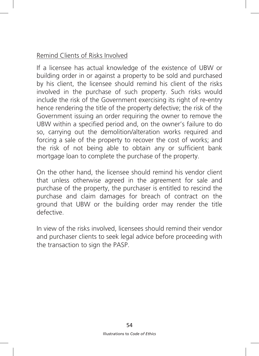#### Remind Clients of Risks Involved

If a licensee has actual knowledge of the existence of UBW or building order in or against a property to be sold and purchased by his client, the licensee should remind his client of the risks involved in the purchase of such property. Such risks would include the risk of the Government exercising its right of re-entry hence rendering the title of the property defective; the risk of the Government issuing an order requiring the owner to remove the UBW within a specified period and, on the owner's failure to do so, carrying out the demolition/alteration works required and forcing a sale of the property to recover the cost of works; and the risk of not being able to obtain any or sufficient bank mortgage loan to complete the purchase of the property.

On the other hand, the licensee should remind his vendor client that unless otherwise agreed in the agreement for sale and purchase of the property, the purchaser is entitled to rescind the purchase and claim damages for breach of contract on the ground that UBW or the building order may render the title defective.

In view of the risks involved, licensees should remind their vendor and purchaser clients to seek legal advice before proceeding with the transaction to sign the PASP.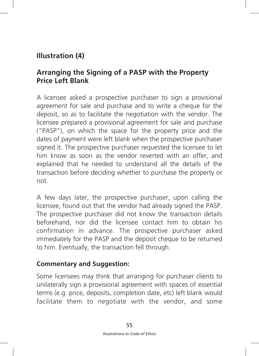# **Illustration (4)**

## **Arranging the Signing of a PASP with the Property Price Left Blank**

A licensee asked a prospective purchaser to sign a provisional agreement for sale and purchase and to write a cheque for the deposit, so as to facilitate the negotiation with the vendor. The licensee prepared a provisional agreement for sale and purchase ("PASP"), on which the space for the property price and the dates of payment were left blank when the prospective purchaser signed it. The prospective purchaser requested the licensee to let him know as soon as the vendor reverted with an offer, and explained that he needed to understand all the details of the transaction before deciding whether to purchase the property or not.

A few days later, the prospective purchaser, upon calling the licensee, found out that the vendor had already signed the PASP. The prospective purchaser did not know the transaction details beforehand, nor did the licensee contact him to obtain his confirmation in advance. The prospective purchaser asked immediately for the PASP and the deposit cheque to be returned to him. Eventually, the transaction fell through.

#### **Commentary and Suggestion:**

Some licensees may think that arranging for purchaser clients to unilaterally sign a provisional agreement with spaces of essential terms (e.g. price, deposits, completion date, etc) left blank would facilitate them to negotiate with the vendor, and some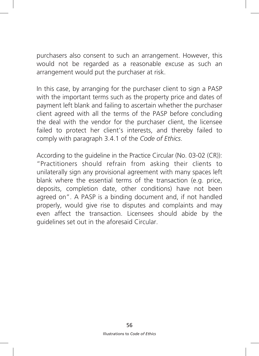purchasers also consent to such an arrangement. However, this would not be regarded as a reasonable excuse as such an arrangement would put the purchaser at risk.

In this case, by arranging for the purchaser client to sign a PASP with the important terms such as the property price and dates of payment left blank and failing to ascertain whether the purchaser client agreed with all the terms of the PASP before concluding the deal with the vendor for the purchaser client, the licensee failed to protect her client's interests, and thereby failed to comply with paragraph 3.4.1 of the *Code of Ethics*.

According to the guideline in the Practice Circular (No. 03-02 (CR)): "Practitioners should refrain from asking their clients to unilaterally sign any provisional agreement with many spaces left blank where the essential terms of the transaction (e.g. price, deposits, completion date, other conditions) have not been agreed on". A PASP is a binding document and, if not handled properly, would give rise to disputes and complaints and may even affect the transaction. Licensees should abide by the guidelines set out in the aforesaid Circular.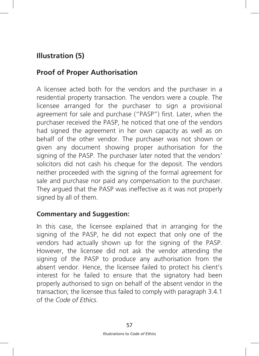# **Illustration (5)**

# **Proof of Proper Authorisation**

A licensee acted both for the vendors and the purchaser in a residential property transaction. The vendors were a couple. The licensee arranged for the purchaser to sign a provisional agreement for sale and purchase ("PASP") first. Later, when the purchaser received the PASP, he noticed that one of the vendors had signed the agreement in her own capacity as well as on behalf of the other vendor. The purchaser was not shown or given any document showing proper authorisation for the signing of the PASP. The purchaser later noted that the vendors' solicitors did not cash his cheque for the deposit. The vendors neither proceeded with the signing of the formal agreement for sale and purchase nor paid any compensation to the purchaser. They argued that the PASP was ineffective as it was not properly signed by all of them.

#### **Commentary and Suggestion:**

In this case, the licensee explained that in arranging for the signing of the PASP, he did not expect that only one of the vendors had actually shown up for the signing of the PASP. However, the licensee did not ask the vendor attending the signing of the PASP to produce any authorisation from the absent vendor. Hence, the licensee failed to protect his client's interest for he failed to ensure that the signatory had been properly authorised to sign on behalf of the absent vendor in the transaction; the licensee thus failed to comply with paragraph 3.4.1 of the *Code of Ethics*.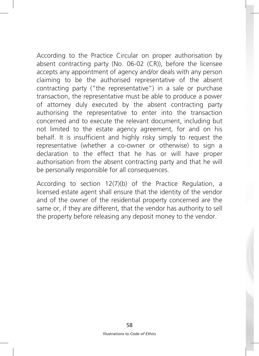According to the Practice Circular on proper authorisation by absent contracting party (No. 06-02 (CR)), before the licensee accepts any appointment of agency and/or deals with any person claiming to be the authorised representative of the absent contracting party ("the representative") in a sale or purchase transaction, the representative must be able to produce a power of attorney duly executed by the absent contracting party authorising the representative to enter into the transaction concerned and to execute the relevant document, including but not limited to the estate agency agreement, for and on his behalf. It is insufficient and highly risky simply to request the representative (whether a co-owner or otherwise) to sign a declaration to the effect that he has or will have proper authorisation from the absent contracting party and that he will be personally responsible for all consequences.

According to section 12(7)(b) of the Practice Regulation, a licensed estate agent shall ensure that the identity of the vendor and of the owner of the residential property concerned are the same or, if they are different, that the vendor has authority to sell the property before releasing any deposit money to the vendor.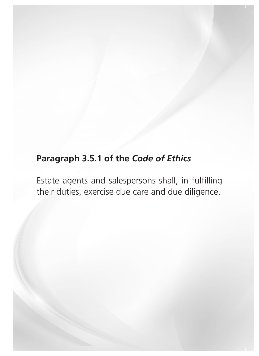# **Paragraph 3.5.1 of the** *Code of Ethics*

Estate agents and salespersons shall, in fulfilling their duties, exercise due care and due diligence.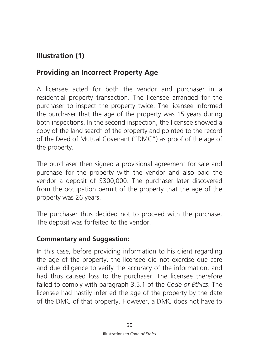# **Illustration (1)**

# **Providing an Incorrect Property Age**

A licensee acted for both the vendor and purchaser in a residential property transaction. The licensee arranged for the purchaser to inspect the property twice. The licensee informed the purchaser that the age of the property was 15 years during both inspections. In the second inspection, the licensee showed a copy of the land search of the property and pointed to the record of the Deed of Mutual Covenant ("DMC") as proof of the age of the property.

The purchaser then signed a provisional agreement for sale and purchase for the property with the vendor and also paid the vendor a deposit of \$300,000. The purchaser later discovered from the occupation permit of the property that the age of the property was 26 years.

The purchaser thus decided not to proceed with the purchase. The deposit was forfeited to the vendor.

#### **Commentary and Suggestion:**

In this case, before providing information to his client regarding the age of the property, the licensee did not exercise due care and due diligence to verify the accuracy of the information, and had thus caused loss to the purchaser. The licensee therefore failed to comply with paragraph 3.5.1 of the *Code of Ethics*. The licensee had hastily inferred the age of the property by the date of the DMC of that property. However, a DMC does not have to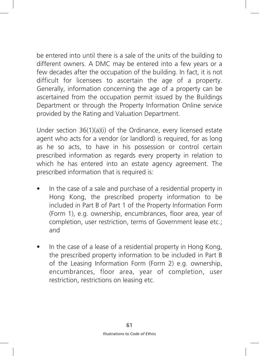be entered into until there is a sale of the units of the building to different owners. A DMC may be entered into a few years or a few decades after the occupation of the building. In fact, it is not difficult for licensees to ascertain the age of a property. Generally, information concerning the age of a property can be ascertained from the occupation permit issued by the Buildings Department or through the Property Information Online service provided by the Rating and Valuation Department.

Under section 36(1)(a)(i) of the Ordinance, every licensed estate agent who acts for a vendor (or landlord) is required, for as long as he so acts, to have in his possession or control certain prescribed information as regards every property in relation to which he has entered into an estate agency agreement. The prescribed information that is required is:

- In the case of a sale and purchase of a residential property in Hong Kong, the prescribed property information to be included in Part B of Part 1 of the Property Information Form (Form 1), e.g. ownership, encumbrances, floor area, year of completion, user restriction, terms of Government lease etc.; and
- In the case of a lease of a residential property in Hong Kong, the prescribed property information to be included in Part B of the Leasing Information Form (Form 2) e.g. ownership, encumbrances, floor area, year of completion, user restriction, restrictions on leasing etc.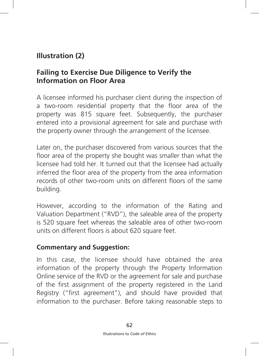# **Illustration (2)**

## **Failing to Exercise Due Diligence to Verify the Information on Floor Area**

A licensee informed his purchaser client during the inspection of a two-room residential property that the floor area of the property was 815 square feet. Subsequently, the purchaser entered into a provisional agreement for sale and purchase with the property owner through the arrangement of the licensee.

Later on, the purchaser discovered from various sources that the floor area of the property she bought was smaller than what the licensee had told her. It turned out that the licensee had actually inferred the floor area of the property from the area information records of other two-room units on different floors of the same building.

However, according to the information of the Rating and Valuation Department ("RVD"), the saleable area of the property is 520 square feet whereas the saleable area of other two-room units on different floors is about 620 square feet.

#### **Commentary and Suggestion:**

In this case, the licensee should have obtained the area information of the property through the Property Information Online service of the RVD or the agreement for sale and purchase of the first assignment of the property registered in the Land Registry ("first agreement"), and should have provided that information to the purchaser. Before taking reasonable steps to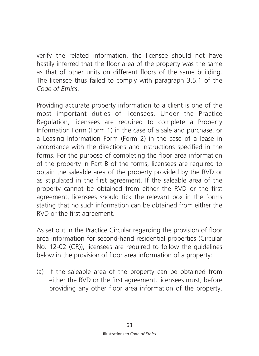verify the related information, the licensee should not have hastily inferred that the floor area of the property was the same as that of other units on different floors of the same building. The licensee thus failed to comply with paragraph 3.5.1 of the *Code of Ethics*.

Providing accurate property information to a client is one of the most important duties of licensees. Under the Practice Regulation, licensees are required to complete a Property Information Form (Form 1) in the case of a sale and purchase, or a Leasing Information Form (Form 2) in the case of a lease in accordance with the directions and instructions specified in the forms. For the purpose of completing the floor area information of the property in Part B of the forms, licensees are required to obtain the saleable area of the property provided by the RVD or as stipulated in the first agreement. If the saleable area of the property cannot be obtained from either the RVD or the first agreement, licensees should tick the relevant box in the forms stating that no such information can be obtained from either the RVD or the first agreement.

As set out in the Practice Circular regarding the provision of floor area information for second-hand residential properties (Circular No. 12-02 (CR)), licensees are required to follow the guidelines below in the provision of floor area information of a property:

(a) If the saleable area of the property can be obtained from either the RVD or the first agreement, licensees must, before providing any other floor area information of the property,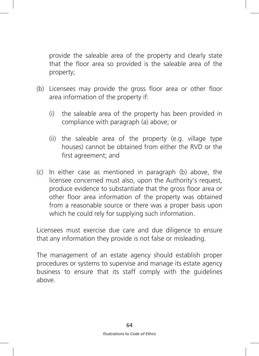provide the saleable area of the property and clearly state that the floor area so provided is the saleable area of the property;

- (b) Licensees may provide the gross floor area or other floor area information of the property if:
	- (i) the saleable area of the property has been provided in compliance with paragraph (a) above; or
	- (ii) the saleable area of the property (e.g. village type houses) cannot be obtained from either the RVD or the first agreement; and
- (c) In either case as mentioned in paragraph (b) above, the licensee concerned must also, upon the Authority's request, produce evidence to substantiate that the gross floor area or other floor area information of the property was obtained from a reasonable source or there was a proper basis upon which he could rely for supplying such information.

Licensees must exercise due care and due diligence to ensure that any information they provide is not false or misleading.

The management of an estate agency should establish proper procedures or systems to supervise and manage its estate agency business to ensure that its staff comply with the guidelines above.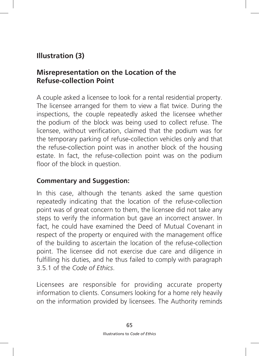# **Illustration (3)**

## **Misrepresentation on the Location of the Refuse-collection Point**

A couple asked a licensee to look for a rental residential property. The licensee arranged for them to view a flat twice. During the inspections, the couple repeatedly asked the licensee whether the podium of the block was being used to collect refuse. The licensee, without verification, claimed that the podium was for the temporary parking of refuse-collection vehicles only and that the refuse-collection point was in another block of the housing estate. In fact, the refuse-collection point was on the podium floor of the block in question.

#### **Commentary and Suggestion:**

In this case, although the tenants asked the same question repeatedly indicating that the location of the refuse-collection point was of great concern to them, the licensee did not take any steps to verify the information but gave an incorrect answer. In fact, he could have examined the Deed of Mutual Covenant in respect of the property or enquired with the management office of the building to ascertain the location of the refuse-collection point. The licensee did not exercise due care and diligence in fulfilling his duties, and he thus failed to comply with paragraph 3.5.1 of the *Code of Ethics*.

Licensees are responsible for providing accurate property information to clients. Consumers looking for a home rely heavily on the information provided by licensees. The Authority reminds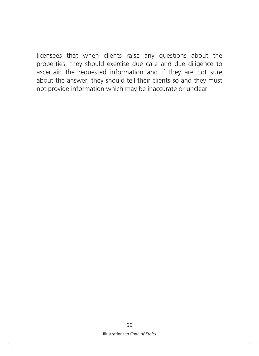licensees that when clients raise any questions about the properties, they should exercise due care and due diligence to ascertain the requested information and if they are not sure about the answer, they should tell their clients so and they must not provide information which may be inaccurate or unclear.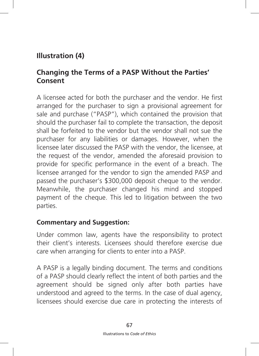# **Illustration (4)**

## **Changing the Terms of a PASP Without the Parties' Consent**

A licensee acted for both the purchaser and the vendor. He first arranged for the purchaser to sign a provisional agreement for sale and purchase ("PASP"), which contained the provision that should the purchaser fail to complete the transaction, the deposit shall be forfeited to the vendor but the vendor shall not sue the purchaser for any liabilities or damages. However, when the licensee later discussed the PASP with the vendor, the licensee, at the request of the vendor, amended the aforesaid provision to provide for specific performance in the event of a breach. The licensee arranged for the vendor to sign the amended PASP and passed the purchaser's \$300,000 deposit cheque to the vendor. Meanwhile, the purchaser changed his mind and stopped payment of the cheque. This led to litigation between the two parties.

#### **Commentary and Suggestion:**

Under common law, agents have the responsibility to protect their client's interests. Licensees should therefore exercise due care when arranging for clients to enter into a PASP.

A PASP is a legally binding document. The terms and conditions of a PASP should clearly reflect the intent of both parties and the agreement should be signed only after both parties have understood and agreed to the terms. In the case of dual agency, licensees should exercise due care in protecting the interests of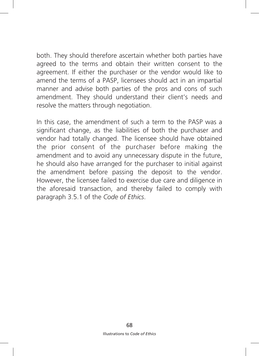both. They should therefore ascertain whether both parties have agreed to the terms and obtain their written consent to the agreement. If either the purchaser or the vendor would like to amend the terms of a PASP, licensees should act in an impartial manner and advise both parties of the pros and cons of such amendment. They should understand their client's needs and resolve the matters through negotiation.

In this case, the amendment of such a term to the PASP was a significant change, as the liabilities of both the purchaser and vendor had totally changed. The licensee should have obtained the prior consent of the purchaser before making the amendment and to avoid any unnecessary dispute in the future, he should also have arranged for the purchaser to initial against the amendment before passing the deposit to the vendor. However, the licensee failed to exercise due care and diligence in the aforesaid transaction, and thereby failed to comply with paragraph 3.5.1 of the *Code of Ethics*.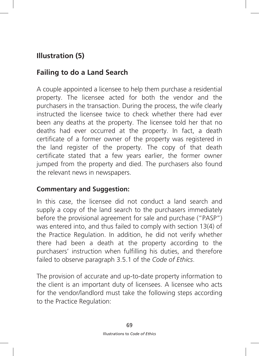# **Illustration (5)**

# **Failing to do a Land Search**

A couple appointed a licensee to help them purchase a residential property. The licensee acted for both the vendor and the purchasers in the transaction. During the process, the wife clearly instructed the licensee twice to check whether there had ever been any deaths at the property. The licensee told her that no deaths had ever occurred at the property. In fact, a death certificate of a former owner of the property was registered in the land register of the property. The copy of that death certificate stated that a few years earlier, the former owner jumped from the property and died. The purchasers also found the relevant news in newspapers.

#### **Commentary and Suggestion:**

In this case, the licensee did not conduct a land search and supply a copy of the land search to the purchasers immediately before the provisional agreement for sale and purchase ("PASP") was entered into, and thus failed to comply with section 13(4) of the Practice Regulation. In addition, he did not verify whether there had been a death at the property according to the purchasers' instruction when fulfilling his duties, and therefore failed to observe paragraph 3.5.1 of the *Code of Ethics*.

The provision of accurate and up-to-date property information to the client is an important duty of licensees. A licensee who acts for the vendor/landlord must take the following steps according to the Practice Regulation: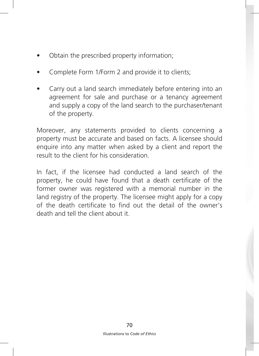- Obtain the prescribed property information;
- Complete Form 1/Form 2 and provide it to clients;
- Carry out a land search immediately before entering into an agreement for sale and purchase or a tenancy agreement and supply a copy of the land search to the purchaser/tenant of the property.

Moreover, any statements provided to clients concerning a property must be accurate and based on facts. A licensee should enquire into any matter when asked by a client and report the result to the client for his consideration.

In fact, if the licensee had conducted a land search of the property, he could have found that a death certificate of the former owner was registered with a memorial number in the land registry of the property. The licensee might apply for a copy of the death certificate to find out the detail of the owner's death and tell the client about it.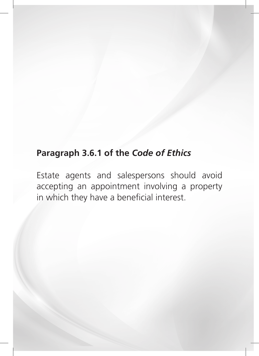# **Paragraph 3.6.1 of the** *Code of Ethics*

Estate agents and salespersons should avoid accepting an appointment involving a property in which they have a beneficial interest.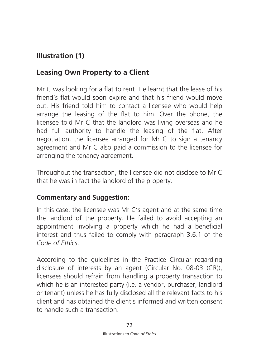## **Leasing Own Property to a Client**

Mr C was looking for a flat to rent. He learnt that the lease of his friend's flat would soon expire and that his friend would move out. His friend told him to contact a licensee who would help arrange the leasing of the flat to him. Over the phone, the licensee told Mr C that the landlord was living overseas and he had full authority to handle the leasing of the flat. After negotiation, the licensee arranged for Mr C to sign a tenancy agreement and Mr C also paid a commission to the licensee for arranging the tenancy agreement.

Throughout the transaction, the licensee did not disclose to Mr C that he was in fact the landlord of the property.

### **Commentary and Suggestion:**

In this case, the licensee was Mr C's agent and at the same time the landlord of the property. He failed to avoid accepting an appointment involving a property which he had a beneficial interest and thus failed to comply with paragraph 3.6.1 of the *Code of Ethics*.

According to the guidelines in the Practice Circular regarding disclosure of interests by an agent (Circular No. 08-03 (CR)), licensees should refrain from handling a property transaction to which he is an interested party (i.e. a vendor, purchaser, landlord or tenant) unless he has fully disclosed all the relevant facts to his client and has obtained the client's informed and written consent to handle such a transaction.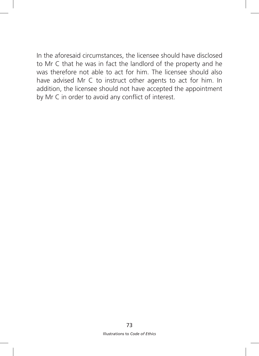In the aforesaid circumstances, the licensee should have disclosed to Mr C that he was in fact the landlord of the property and he was therefore not able to act for him. The licensee should also have advised Mr C to instruct other agents to act for him. In addition, the licensee should not have accepted the appointment by Mr C in order to avoid any conflict of interest.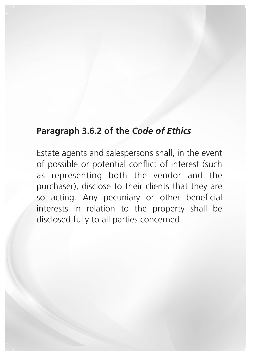# **Paragraph 3.6.2 of the** *Code of Ethics*

Estate agents and salespersons shall, in the event of possible or potential conflict of interest (such as representing both the vendor and the purchaser), disclose to their clients that they are so acting. Any pecuniary or other beneficial interests in relation to the property shall be disclosed fully to all parties concerned.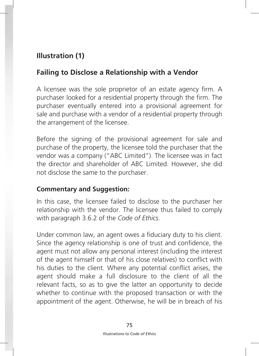## **Failing to Disclose a Relationship with a Vendor**

A licensee was the sole proprietor of an estate agency firm. A purchaser looked for a residential property through the firm. The purchaser eventually entered into a provisional agreement for sale and purchase with a vendor of a residential property through the arrangement of the licensee.

Before the signing of the provisional agreement for sale and purchase of the property, the licensee told the purchaser that the vendor was a company ("ABC Limited"). The licensee was in fact the director and shareholder of ABC Limited. However, she did not disclose the same to the purchaser.

#### **Commentary and Suggestion:**

In this case, the licensee failed to disclose to the purchaser her relationship with the vendor. The licensee thus failed to comply with paragraph 3.6.2 of the *Code of Ethics*.

Under common law, an agent owes a fiduciary duty to his client. Since the agency relationship is one of trust and confidence, the agent must not allow any personal interest (including the interest of the agent himself or that of his close relatives) to conflict with his duties to the client. Where any potential conflict arises, the agent should make a full disclosure to the client of all the relevant facts, so as to give the latter an opportunity to decide whether to continue with the proposed transaction or with the appointment of the agent. Otherwise, he will be in breach of his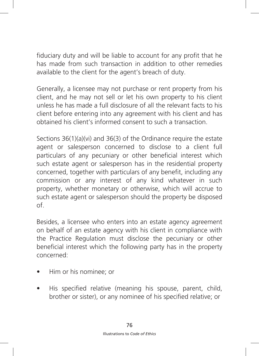fiduciary duty and will be liable to account for any profit that he has made from such transaction in addition to other remedies available to the client for the agent's breach of duty.

Generally, a licensee may not purchase or rent property from his client, and he may not sell or let his own property to his client unless he has made a full disclosure of all the relevant facts to his client before entering into any agreement with his client and has obtained his client's informed consent to such a transaction.

Sections 36(1)(a)(vi) and 36(3) of the Ordinance require the estate agent or salesperson concerned to disclose to a client full particulars of any pecuniary or other beneficial interest which such estate agent or salesperson has in the residential property concerned, together with particulars of any benefit, including any commission or any interest of any kind whatever in such property, whether monetary or otherwise, which will accrue to such estate agent or salesperson should the property be disposed of.

Besides, a licensee who enters into an estate agency agreement on behalf of an estate agency with his client in compliance with the Practice Regulation must disclose the pecuniary or other beneficial interest which the following party has in the property concerned:

- Him or his nominee; or
- His specified relative (meaning his spouse, parent, child, brother or sister), or any nominee of his specified relative; or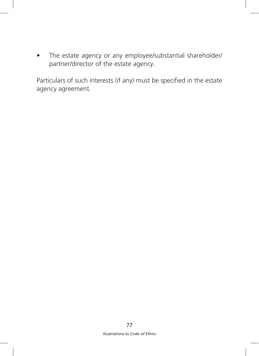• The estate agency or any employee/substantial shareholder/ partner/director of the estate agency.

Particulars of such interests (if any) must be specified in the estate agency agreement.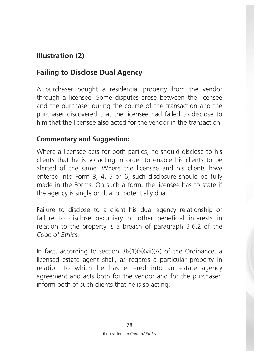## **Failing to Disclose Dual Agency**

A purchaser bought a residential property from the vendor through a licensee. Some disputes arose between the licensee and the purchaser during the course of the transaction and the purchaser discovered that the licensee had failed to disclose to him that the licensee also acted for the vendor in the transaction.

#### **Commentary and Suggestion:**

Where a licensee acts for both parties, he should disclose to his clients that he is so acting in order to enable his clients to be alerted of the same. Where the licensee and his clients have entered into Form 3, 4, 5 or 6, such disclosure should be fully made in the Forms. On such a form, the licensee has to state if the agency is single or dual or potentially dual.

Failure to disclose to a client his dual agency relationship or failure to disclose pecuniary or other beneficial interests in relation to the property is a breach of paragraph 3.6.2 of the *Code of Ethics*.

In fact, according to section 36(1)(a)(vii)(A) of the Ordinance, a licensed estate agent shall, as regards a particular property in relation to which he has entered into an estate agency agreement and acts both for the vendor and for the purchaser, inform both of such clients that he is so acting.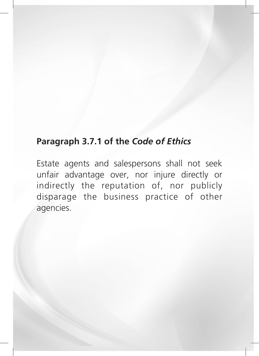# **Paragraph 3.7.1 of the** *Code of Ethics*

Estate agents and salespersons shall not seek unfair advantage over, nor injure directly or indirectly the reputation of, nor publicly disparage the business practice of other agencies.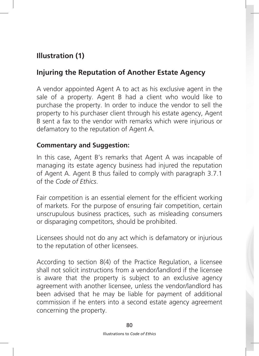# **Injuring the Reputation of Another Estate Agency**

A vendor appointed Agent A to act as his exclusive agent in the sale of a property. Agent B had a client who would like to purchase the property. In order to induce the vendor to sell the property to his purchaser client through his estate agency, Agent B sent a fax to the vendor with remarks which were injurious or defamatory to the reputation of Agent A.

### **Commentary and Suggestion:**

In this case, Agent B's remarks that Agent A was incapable of managing its estate agency business had injured the reputation of Agent A. Agent B thus failed to comply with paragraph 3.7.1 of the *Code of Ethics*.

Fair competition is an essential element for the efficient working of markets. For the purpose of ensuring fair competition, certain unscrupulous business practices, such as misleading consumers or disparaging competitors, should be prohibited.

Licensees should not do any act which is defamatory or injurious to the reputation of other licensees.

According to section 8(4) of the Practice Regulation, a licensee shall not solicit instructions from a vendor/landlord if the licensee is aware that the property is subject to an exclusive agency agreement with another licensee, unless the vendor/landlord has been advised that he may be liable for payment of additional commission if he enters into a second estate agency agreement concerning the property.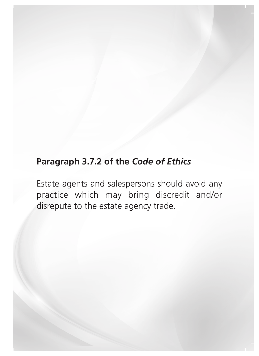# **Paragraph 3.7.2 of the** *Code of Ethics*

Estate agents and salespersons should avoid any practice which may bring discredit and/or disrepute to the estate agency trade.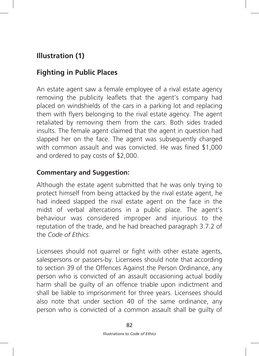# **Fighting in Public Places**

An estate agent saw a female employee of a rival estate agency removing the publicity leaflets that the agent's company had placed on windshields of the cars in a parking lot and replacing them with flyers belonging to the rival estate agency. The agent retaliated by removing them from the cars. Both sides traded insults. The female agent claimed that the agent in question had slapped her on the face. The agent was subsequently charged with common assault and was convicted. He was fined \$1,000 and ordered to pay costs of \$2,000.

### **Commentary and Suggestion:**

Although the estate agent submitted that he was only trying to protect himself from being attacked by the rival estate agent, he had indeed slapped the rival estate agent on the face in the midst of verbal altercations in a public place. The agent's behaviour was considered improper and injurious to the reputation of the trade, and he had breached paragraph 3.7.2 of the *Code of Ethics*.

Licensees should not quarrel or fight with other estate agents, salespersons or passers-by. Licensees should note that according to section 39 of the Offences Against the Person Ordinance, any person who is convicted of an assault occasioning actual bodily harm shall be guilty of an offence triable upon indictment and shall be liable to imprisonment for three years. Licensees should also note that under section 40 of the same ordinance, any person who is convicted of a common assault shall be guilty of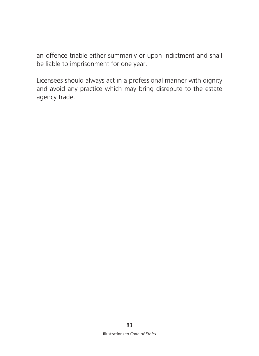an offence triable either summarily or upon indictment and shall be liable to imprisonment for one year.

Licensees should always act in a professional manner with dignity and avoid any practice which may bring disrepute to the estate agency trade.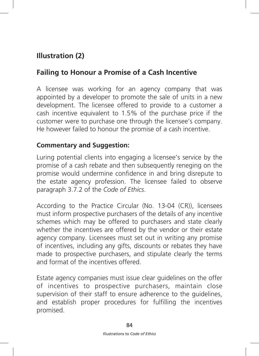## **Failing to Honour a Promise of a Cash Incentive**

A licensee was working for an agency company that was appointed by a developer to promote the sale of units in a new development. The licensee offered to provide to a customer a cash incentive equivalent to 1.5% of the purchase price if the customer were to purchase one through the licensee's company. He however failed to honour the promise of a cash incentive.

#### **Commentary and Suggestion:**

Luring potential clients into engaging a licensee's service by the promise of a cash rebate and then subsequently reneging on the promise would undermine confidence in and bring disrepute to the estate agency profession. The licensee failed to observe paragraph 3.7.2 of the *Code of Ethics*.

According to the Practice Circular (No. 13-04 (CR)), licensees must inform prospective purchasers of the details of any incentive schemes which may be offered to purchasers and state clearly whether the incentives are offered by the vendor or their estate agency company. Licensees must set out in writing any promise of incentives, including any gifts, discounts or rebates they have made to prospective purchasers, and stipulate clearly the terms and format of the incentives offered.

Estate agency companies must issue clear guidelines on the offer of incentives to prospective purchasers, maintain close supervision of their staff to ensure adherence to the guidelines, and establish proper procedures for fulfilling the incentives promised.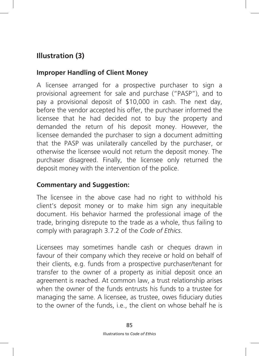## **Improper Handling of Client Money**

A licensee arranged for a prospective purchaser to sign a provisional agreement for sale and purchase ("PASP"), and to pay a provisional deposit of \$10,000 in cash. The next day, before the vendor accepted his offer, the purchaser informed the licensee that he had decided not to buy the property and demanded the return of his deposit money. However, the licensee demanded the purchaser to sign a document admitting that the PASP was unilaterally cancelled by the purchaser, or otherwise the licensee would not return the deposit money. The purchaser disagreed. Finally, the licensee only returned the deposit money with the intervention of the police.

### **Commentary and Suggestion:**

The licensee in the above case had no right to withhold his client's deposit money or to make him sign any inequitable document. His behavior harmed the professional image of the trade, bringing disrepute to the trade as a whole, thus failing to comply with paragraph 3.7.2 of the *Code of Ethics*.

Licensees may sometimes handle cash or cheques drawn in favour of their company which they receive or hold on behalf of their clients, e.g. funds from a prospective purchaser/tenant for transfer to the owner of a property as initial deposit once an agreement is reached. At common law, a trust relationship arises when the owner of the funds entrusts his funds to a trustee for managing the same. A licensee, as trustee, owes fiduciary duties to the owner of the funds, i.e., the client on whose behalf he is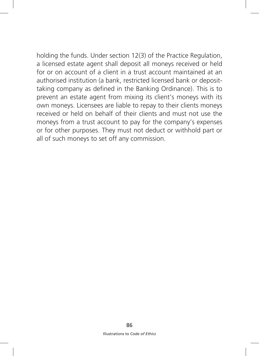holding the funds. Under section 12(3) of the Practice Regulation, a licensed estate agent shall deposit all moneys received or held for or on account of a client in a trust account maintained at an authorised institution (a bank, restricted licensed bank or deposittaking company as defined in the Banking Ordinance). This is to prevent an estate agent from mixing its client's moneys with its own moneys. Licensees are liable to repay to their clients moneys received or held on behalf of their clients and must not use the moneys from a trust account to pay for the company's expenses or for other purposes. They must not deduct or withhold part or all of such moneys to set off any commission.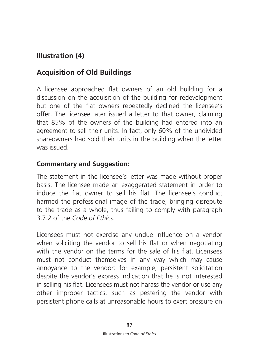# **Acquisition of Old Buildings**

A licensee approached flat owners of an old building for a discussion on the acquisition of the building for redevelopment but one of the flat owners repeatedly declined the licensee's offer. The licensee later issued a letter to that owner, claiming that 85% of the owners of the building had entered into an agreement to sell their units. In fact, only 60% of the undivided shareowners had sold their units in the building when the letter was issued.

### **Commentary and Suggestion:**

The statement in the licensee's letter was made without proper basis. The licensee made an exaggerated statement in order to induce the flat owner to sell his flat. The licensee's conduct harmed the professional image of the trade, bringing disrepute to the trade as a whole, thus failing to comply with paragraph 3.7.2 of the *Code of Ethics*.

Licensees must not exercise any undue influence on a vendor when soliciting the vendor to sell his flat or when negotiating with the vendor on the terms for the sale of his flat. Licensees must not conduct themselves in any way which may cause annoyance to the vendor: for example, persistent solicitation despite the vendor's express indication that he is not interested in selling his flat. Licensees must not harass the vendor or use any other improper tactics, such as pestering the vendor with persistent phone calls at unreasonable hours to exert pressure on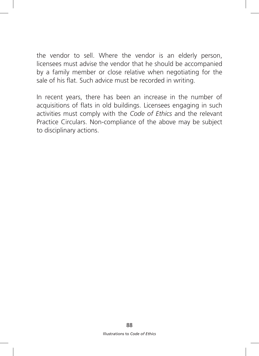the vendor to sell. Where the vendor is an elderly person, licensees must advise the vendor that he should be accompanied by a family member or close relative when negotiating for the sale of his flat. Such advice must be recorded in writing.

In recent years, there has been an increase in the number of acquisitions of flats in old buildings. Licensees engaging in such activities must comply with the *Code of Ethics* and the relevant Practice Circulars. Non-compliance of the above may be subject to disciplinary actions.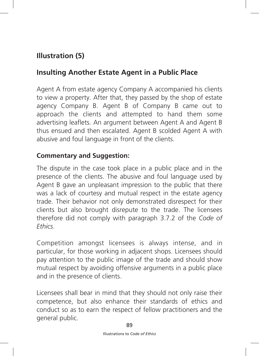## **Insulting Another Estate Agent in a Public Place**

Agent A from estate agency Company A accompanied his clients to view a property. After that, they passed by the shop of estate agency Company B. Agent B of Company B came out to approach the clients and attempted to hand them some advertising leaflets. An argument between Agent A and Agent B thus ensued and then escalated. Agent B scolded Agent A with abusive and foul language in front of the clients.

#### **Commentary and Suggestion:**

The dispute in the case took place in a public place and in the presence of the clients. The abusive and foul language used by Agent B gave an unpleasant impression to the public that there was a lack of courtesy and mutual respect in the estate agency trade. Their behavior not only demonstrated disrespect for their clients but also brought disrepute to the trade. The licensees therefore did not comply with paragraph 3.7.2 of the *Code of Ethics*.

Competition amongst licensees is always intense, and in particular, for those working in adjacent shops. Licensees should pay attention to the public image of the trade and should show mutual respect by avoiding offensive arguments in a public place and in the presence of clients.

Licensees shall bear in mind that they should not only raise their competence, but also enhance their standards of ethics and conduct so as to earn the respect of fellow practitioners and the general public.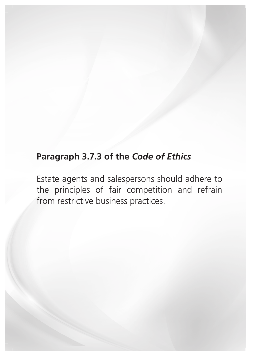# **Paragraph 3.7.3 of the** *Code of Ethics*

Estate agents and salespersons should adhere to the principles of fair competition and refrain from restrictive business practices.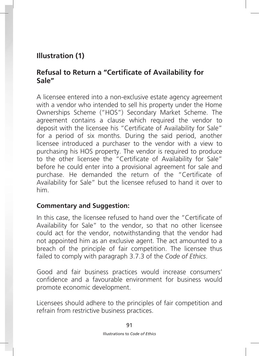### **Refusal to Return a "Certificate of Availability for Sale"**

A licensee entered into a non-exclusive estate agency agreement with a vendor who intended to sell his property under the Home Ownerships Scheme ("HOS") Secondary Market Scheme. The agreement contains a clause which required the vendor to deposit with the licensee his "Certificate of Availability for Sale" for a period of six months. During the said period, another licensee introduced a purchaser to the vendor with a view to purchasing his HOS property. The vendor is required to produce to the other licensee the "Certificate of Availability for Sale" before he could enter into a provisional agreement for sale and purchase. He demanded the return of the "Certificate of Availability for Sale" but the licensee refused to hand it over to him.

#### **Commentary and Suggestion:**

In this case, the licensee refused to hand over the "Certificate of Availability for Sale" to the vendor, so that no other licensee could act for the vendor, notwithstanding that the vendor had not appointed him as an exclusive agent. The act amounted to a breach of the principle of fair competition. The licensee thus failed to comply with paragraph 3.7.3 of the *Code of Ethics*.

Good and fair business practices would increase consumers' confidence and a favourable environment for business would promote economic development.

Licensees should adhere to the principles of fair competition and refrain from restrictive business practices.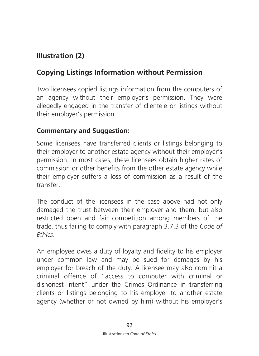# **Copying Listings Information without Permission**

Two licensees copied listings information from the computers of an agency without their employer's permission. They were allegedly engaged in the transfer of clientele or listings without their employer's permission.

### **Commentary and Suggestion:**

Some licensees have transferred clients or listings belonging to their employer to another estate agency without their employer's permission. In most cases, these licensees obtain higher rates of commission or other benefits from the other estate agency while their employer suffers a loss of commission as a result of the transfer.

The conduct of the licensees in the case above had not only damaged the trust between their employer and them, but also restricted open and fair competition among members of the trade, thus failing to comply with paragraph 3.7.3 of the *Code of Ethics*.

An employee owes a duty of loyalty and fidelity to his employer under common law and may be sued for damages by his employer for breach of the duty. A licensee may also commit a criminal offence of "access to computer with criminal or dishonest intent" under the Crimes Ordinance in transferring clients or listings belonging to his employer to another estate agency (whether or not owned by him) without his employer's